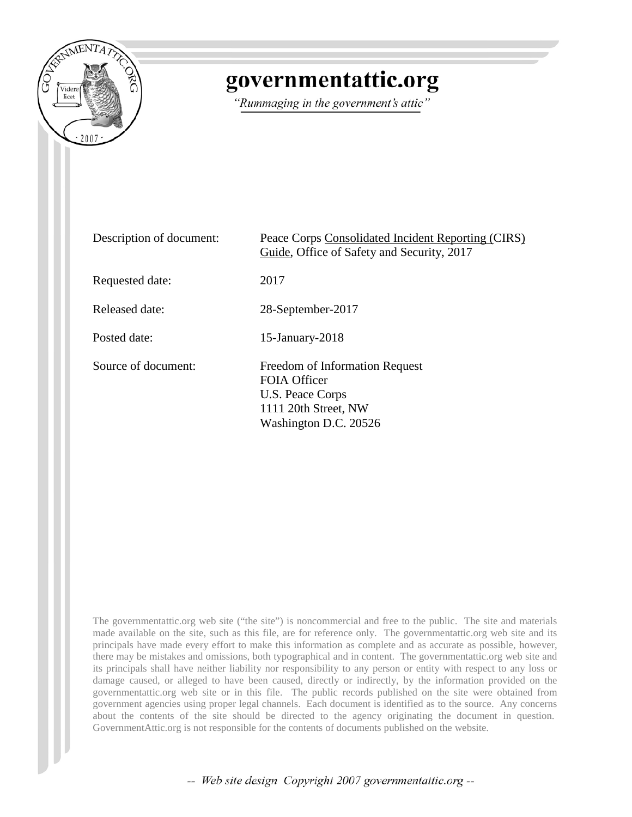

# governmentattic.org

"Rummaging in the government's attic"

| Description of document: | Peace Corps Consolidated Incident Reporting (CIRS)<br>Guide, Office of Safety and Security, 2017                           |
|--------------------------|----------------------------------------------------------------------------------------------------------------------------|
| Requested date:          | 2017                                                                                                                       |
| Released date:           | 28-September-2017                                                                                                          |
| Posted date:             | $15$ -January- $2018$                                                                                                      |
| Source of document:      | Freedom of Information Request<br><b>FOIA Officer</b><br>U.S. Peace Corps<br>1111 20th Street, NW<br>Washington D.C. 20526 |

The governmentattic.org web site ("the site") is noncommercial and free to the public. The site and materials made available on the site, such as this file, are for reference only. The governmentattic.org web site and its principals have made every effort to make this information as complete and as accurate as possible, however, there may be mistakes and omissions, both typographical and in content. The governmentattic.org web site and its principals shall have neither liability nor responsibility to any person or entity with respect to any loss or damage caused, or alleged to have been caused, directly or indirectly, by the information provided on the governmentattic.org web site or in this file. The public records published on the site were obtained from government agencies using proper legal channels. Each document is identified as to the source. Any concerns about the contents of the site should be directed to the agency originating the document in question. GovernmentAttic.org is not responsible for the contents of documents published on the website.

-- Web site design Copyright 2007 governmentattic.org --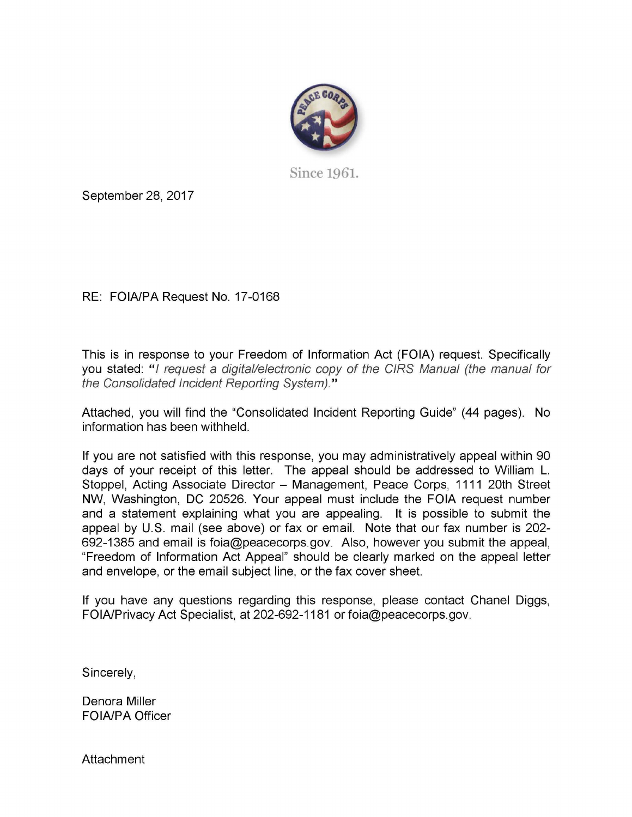

Since 1961.

September 28, 2017

RE: FOIA/PA Request No. 17-0168

This is in response to your Freedom of Information Act (FOIA) request. Specifically you stated: "I request a digital/electronic copy of the CIRS Manual (the manual for the Consolidated Incident Reporting System)."

Attached, you will find the "Consolidated Incident Reporting Guide" (44 pages). **No**  information has been withheld.

If you are not satisfied with this response, you may administratively appeal within 90 days of your receipt of this letter. The appeal should be addressed to William L. Stoppel, Acting Associate Director - Management, Peace Corps, 1111 20th Street NW, Washington, DC 20526. Your appeal must include the FOIA request number and a statement explaining what you are appealing. It is possible to submit the appeal by U.S. mail (see above) or fax or email. Note that our fax number is 202- 692-1385 and email is foia@peacecorps.gov. Also, however you submit the appeal, "Freedom of Information Act Appeal" should be clearly marked on the appeal letter and envelope, or the email subject line, or the fax cover sheet.

If you have any questions regarding this response, please contact Chanel Diggs, FOIA/Privacy Act Specialist, at 202-692-1181 or foia@peacecorps.gov.

Sincerely,

Denora Miller FOIA/PA Officer

**Attachment**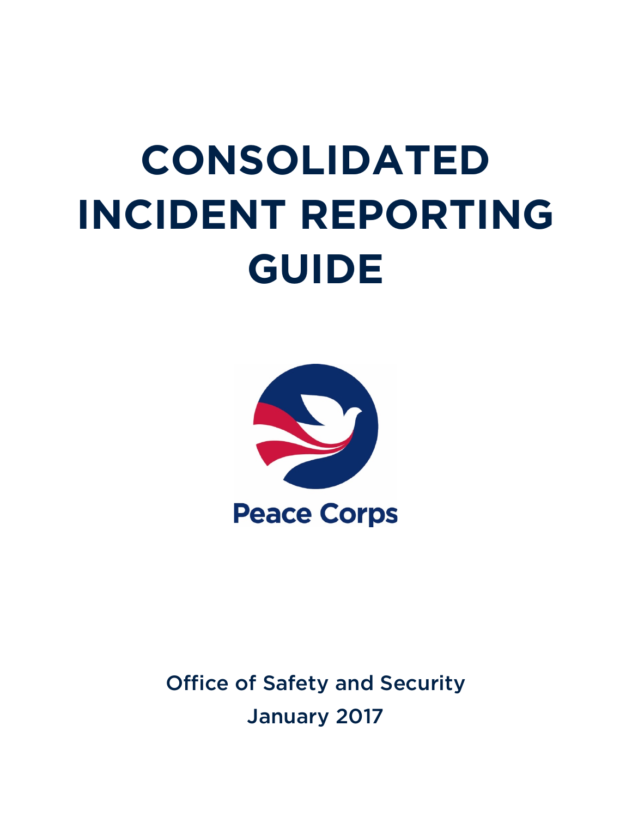# **CONSOLIDATED INCIDENT REPORTING GUIDE**



Office of Safety and Security January 2017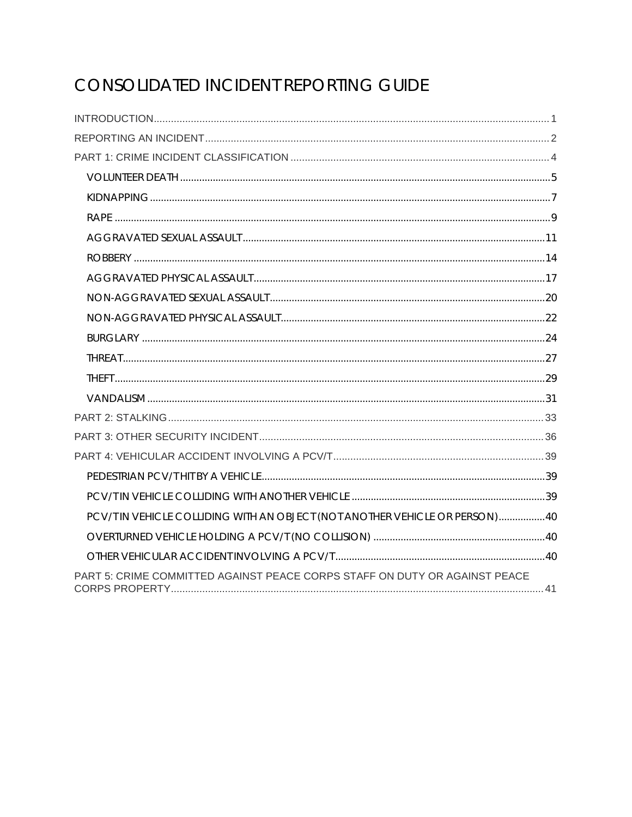## CONSOLIDATED INCIDENT REPORTING GUIDE

| PCV/T IN VEHICLE COLLIDING WITH AN OBJECT (NOT ANOTHER VEHICLE OR PERSON)40 |  |
|-----------------------------------------------------------------------------|--|
|                                                                             |  |
|                                                                             |  |
| PART 5: CRIME COMMITTED AGAINST PEACE CORPS STAFF ON DUTY OR AGAINST PEACE  |  |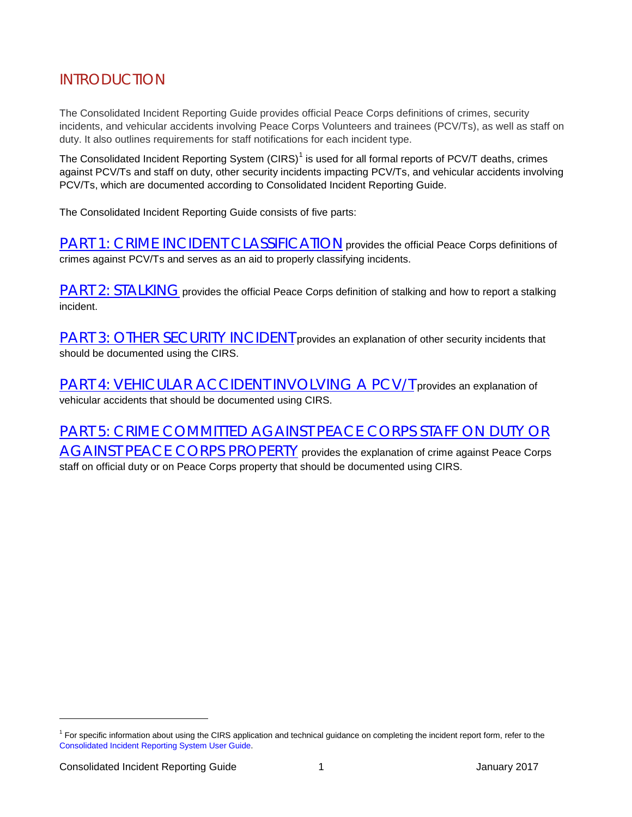## <span id="page-4-0"></span>INTRODUCTION

The Consolidated Incident Reporting Guide provides official Peace Corps definitions of crimes, security incidents, and vehicular accidents involving Peace Corps Volunteers and trainees (PCV/Ts), as well as staff on duty. It also outlines requirements for staff notifications for each incident type.

The Consolidated Incident Reporting System  $(CIRS)^1$  $(CIRS)^1$  is used for all formal reports of PCV/T deaths, crimes against PCV/Ts and staff on duty, other security incidents impacting PCV/Ts, and vehicular accidents involving PCV/Ts, which are documented according to Consolidated Incident Reporting Guide.

The Consolidated Incident Reporting Guide consists of five parts:

[PART 1: CRIME INCIDENT CLASSIFICATION](#page-7-0) provides the official Peace Corps definitions of crimes against PCV/Ts and serves as an aid to properly classifying incidents.

[PART 2: STALKING](#page-36-0) provides the official Peace Corps definition of stalking and how to report a stalking incident.

[PART 3: OTHER SECURITY INCIDENT](#page-39-0) provides an explanation of other security incidents that should be documented using the CIRS.

PART 4: VEHICULAR ACCIDENT INVOLVING A PCV/T provides an explanation of vehicular accidents that should be documented using CIRS.

[PART 5: CRIME COMMITTED AGAINST PEACE CORPS STAFF ON DUTY OR](#page-44-0)  [AGAINST PEACE CORPS PROPERTY](#page-44-0) provides the explanation of crime against Peace Corps staff on official duty or on Peace Corps property that should be documented using CIRS.

l

<span id="page-4-1"></span> $1$  For specific information about using the CIRS application and technical guidance on completing the incident report form, refer to the [Consolidated Incident Reporting System User Guide.](https://intranet.peacecorps.gov/Offices/OSS/_layouts/15/WopiFrame.aspx?sourcedoc=/Offices/OSS/Documents/CIRS_3.2_user_guide.pdf&action=default)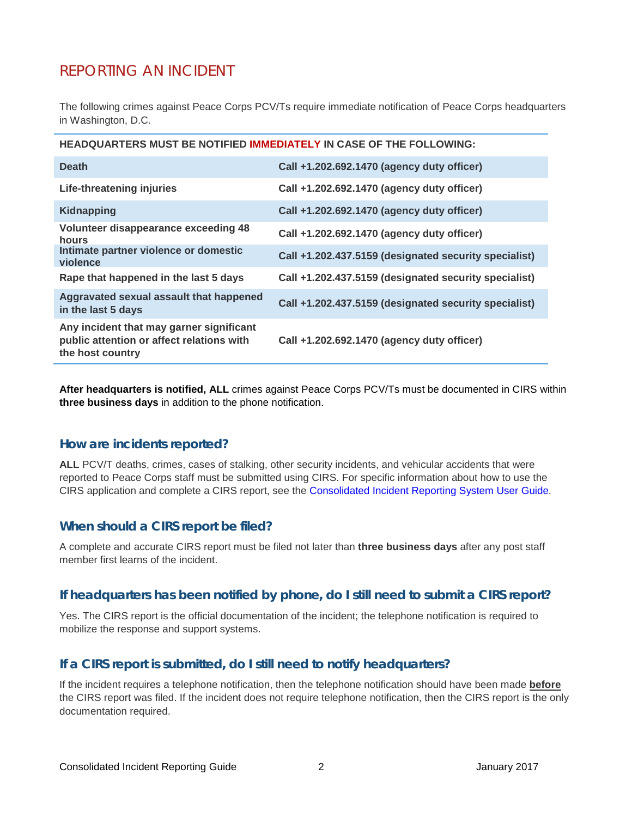## <span id="page-5-0"></span>REPORTING AN INCIDENT

The following crimes against Peace Corps PCV/Ts require immediate notification of Peace Corps headquarters in Washington, D.C.

| <b>Death</b>                                                                                              | Call +1.202.692.1470 (agency duty officer)            |
|-----------------------------------------------------------------------------------------------------------|-------------------------------------------------------|
| Life-threatening injuries                                                                                 | Call +1.202.692.1470 (agency duty officer)            |
| <b>Kidnapping</b>                                                                                         | Call +1.202.692.1470 (agency duty officer)            |
| Volunteer disappearance exceeding 48<br>hours                                                             | Call +1.202.692.1470 (agency duty officer)            |
| Intimate partner violence or domestic<br>violence                                                         | Call +1.202.437.5159 (designated security specialist) |
| Rape that happened in the last 5 days                                                                     | Call +1.202.437.5159 (designated security specialist) |
| Aggravated sexual assault that happened<br>in the last 5 days                                             | Call +1.202.437.5159 (designated security specialist) |
| Any incident that may garner significant<br>public attention or affect relations with<br>the host country | Call +1.202.692.1470 (agency duty officer)            |
|                                                                                                           |                                                       |

**After headquarters is notified, ALL** crimes against Peace Corps PCV/Ts must be documented in CIRS within **three business days** in addition to the phone notification.

#### **How are incidents reported?**

ALL PCV/T deaths, crimes, cases of stalking, other security incidents, and vehicular accidents that were reported to Peace Corps staff must be submitted using CIRS. For specific information about how to use the CIRS application and complete a CIRS report, see the [Consolidated Incident Reporting System User Guide.](https://intranet.peacecorps.gov/Offices/OSS/_layouts/15/WopiFrame.aspx?sourcedoc=/Offices/OSS/Documents/CIRS_3.2_user_guide.pdf&action=default)

#### **When should a CIRS report be filed?**

A complete and accurate CIRS report must be filed not later than **three business days** after any post staff member first learns of the incident.

#### **If headquarters has been notified by phone, do I still need to submit a CIRS report?**

Yes. The CIRS report is the official documentation of the incident; the telephone notification is required to mobilize the response and support systems.

#### **If a CIRS report is submitted, do I still need to notify headquarters?**

If the incident requires a telephone notification, then the telephone notification should have been made **before** the CIRS report was filed. If the incident does not require telephone notification, then the CIRS report is the only documentation required.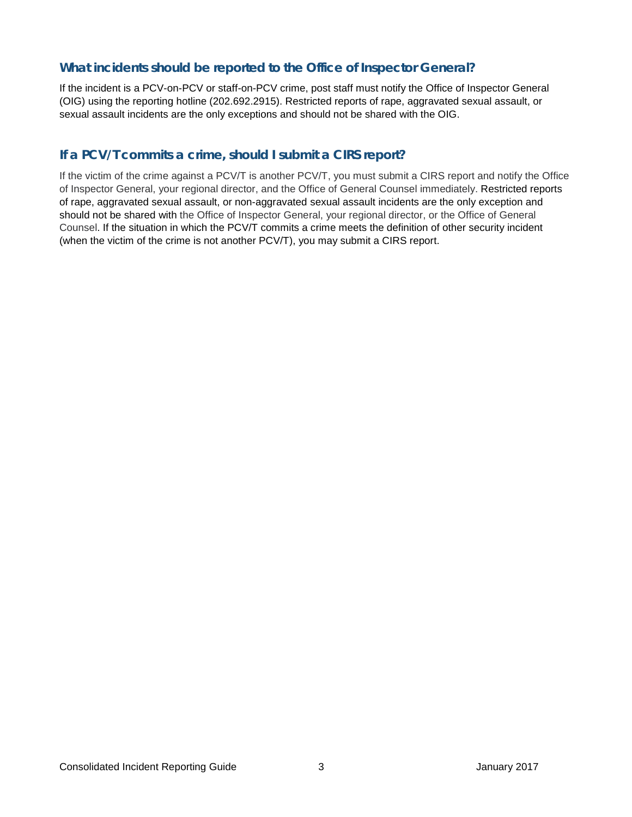#### **What incidents should be reported to the Office of Inspector General?**

If the incident is a PCV-on-PCV or staff-on-PCV crime, post staff must notify the Office of Inspector General (OIG) using the reporting hotline (202.692.2915). Restricted reports of rape, aggravated sexual assault, or sexual assault incidents are the only exceptions and should not be shared with the OIG.

#### **If a PCV/T commits a crime, should I submit a CIRS report?**

If the victim of the crime against a PCV/T is another PCV/T, you must submit a CIRS report and notify the Office of Inspector General, your regional director, and the Office of General Counsel immediately. Restricted reports of rape, aggravated sexual assault, or non-aggravated sexual assault incidents are the only exception and should not be shared with the Office of Inspector General, your regional director, or the Office of General Counsel. If the situation in which the PCV/T commits a crime meets the definition of other security incident (when the victim of the crime is not another PCV/T), you may submit a CIRS report.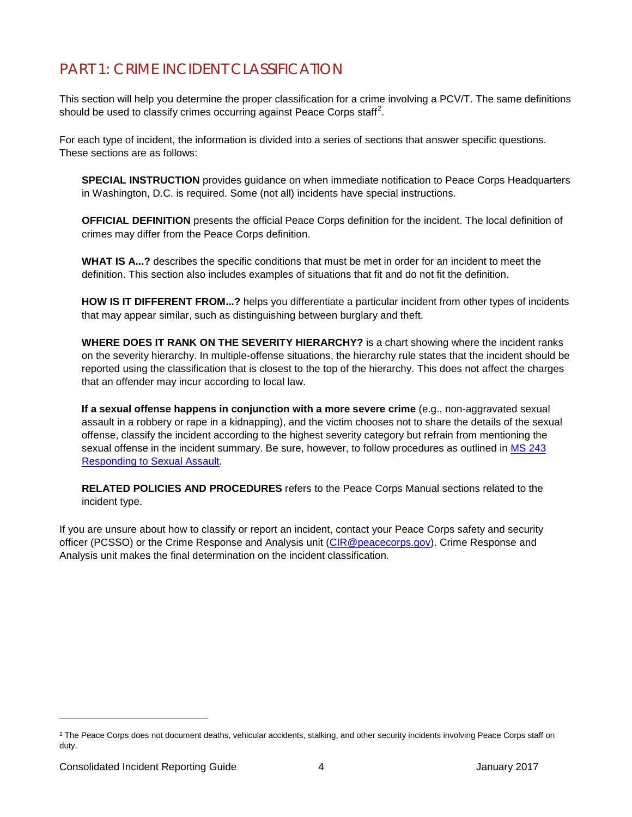## <span id="page-7-0"></span>PART 1: CRIME INCIDENT CLASSIFICATION

This section will help you determine the proper classification for a crime involving a PCV/T. The same definitions should be used to classify crimes occurring against Peace Corps staff<sup>[2](#page-7-1)</sup>.

For each type of incident, the information is divided into a series of sections that answer specific questions. These sections are as follows:

**SPECIAL INSTRUCTION** provides guidance on when immediate notification to Peace Corps Headquarters in Washington, D.C. is required. Some (not all) incidents have special instructions.

**OFFICIAL DEFINITION** presents the official Peace Corps definition for the incident. The local definition of crimes may differ from the Peace Corps definition.

**WHAT IS A...?** describes the specific conditions that must be met in order for an incident to meet the definition. This section also includes examples of situations that fit and do not fit the definition.

**HOW IS IT DIFFERENT FROM...?** helps you differentiate a particular incident from other types of incidents that may appear similar, such as distinguishing between burglary and theft.

**WHERE DOES IT RANK ON THE SEVERITY HIERARCHY?** is a chart showing where the incident ranks on the severity hierarchy. In multiple-offense situations, the hierarchy rule states that the incident should be reported using the classification that is closest to the top of the hierarchy. This does not affect the charges that an offender may incur according to local law.

**If a sexual offense happens in conjunction with a more severe crime** (e.g., non-aggravated sexual assault in a robbery or rape in a kidnapping), and the victim chooses not to share the details of the sexual offense, classify the incident according to the highest severity category but refrain from mentioning the sexual offense in the incident summary. Be sure, however, to follow procedures as outlined in MS 243 [Responding to Sexual Assault.](https://intranet.peacecorps.gov/pcmanual/_layouts/15/WopiFrame.aspx?sourcedoc=/pcmanual/Documents/MS-243-Policy.docx&action=default)

**RELATED POLICIES AND PROCEDURES** refers to the Peace Corps Manual sections related to the incident type.

If you are unsure about how to classify or report an incident, contact your Peace Corps safety and security officer (PCSSO) or the Crime Response and Analysis unit [\(CIR@peacecorps.gov\)](mailto:CIR@peacecorps.gov). Crime Response and Analysis unit makes the final determination on the incident classification.

-

<span id="page-7-1"></span><sup>&</sup>lt;sup>2</sup> The Peace Corps does not document deaths, vehicular accidents, stalking, and other security incidents involving Peace Corps staff on duty.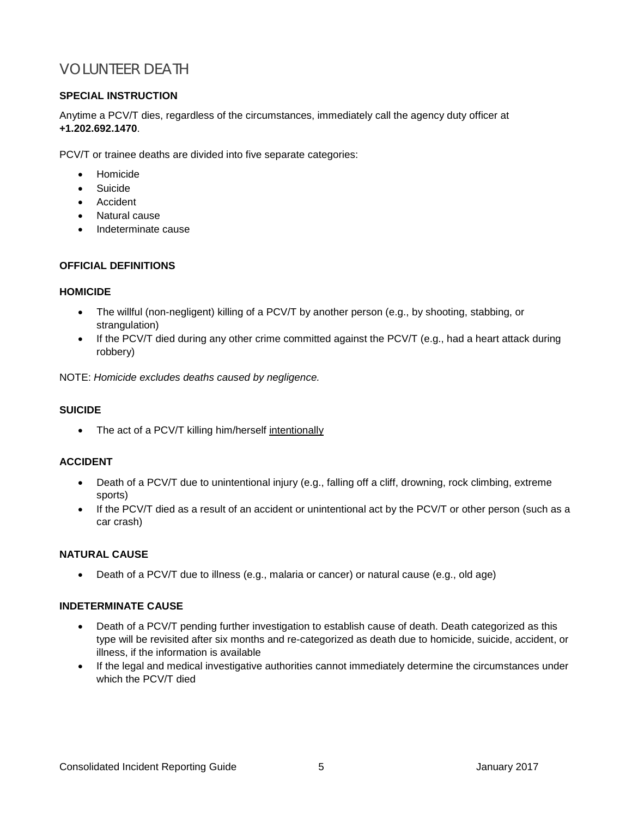## <span id="page-8-0"></span>VOLUNTEER DEATH

#### **SPECIAL INSTRUCTION**

Anytime a PCV/T dies, regardless of the circumstances, immediately call the agency duty officer at **+1.202.692.1470**.

PCV/T or trainee deaths are divided into five separate categories:

- Homicide
- Suicide
- Accident
- Natural cause
- Indeterminate cause

#### **OFFICIAL DEFINITIONS**

#### **HOMICIDE**

- The willful (non-negligent) killing of a PCV/T by another person (e.g., by shooting, stabbing, or strangulation)
- If the PCV/T died during any other crime committed against the PCV/T (e.g., had a heart attack during robbery)

NOTE: *Homicide excludes deaths caused by negligence.*

#### **SUICIDE**

• The act of a PCV/T killing him/herself intentionally

#### **ACCIDENT**

- Death of a PCV/T due to unintentional injury (e.g., falling off a cliff, drowning, rock climbing, extreme sports)
- If the PCV/T died as a result of an accident or unintentional act by the PCV/T or other person (such as a car crash)

#### **NATURAL CAUSE**

• Death of a PCV/T due to illness (e.g., malaria or cancer) or natural cause (e.g., old age)

#### **INDETERMINATE CAUSE**

- Death of a PCV/T pending further investigation to establish cause of death. Death categorized as this type will be revisited after six months and re-categorized as death due to homicide, suicide, accident, or illness, if the information is available
- If the legal and medical investigative authorities cannot immediately determine the circumstances under which the PCV/T died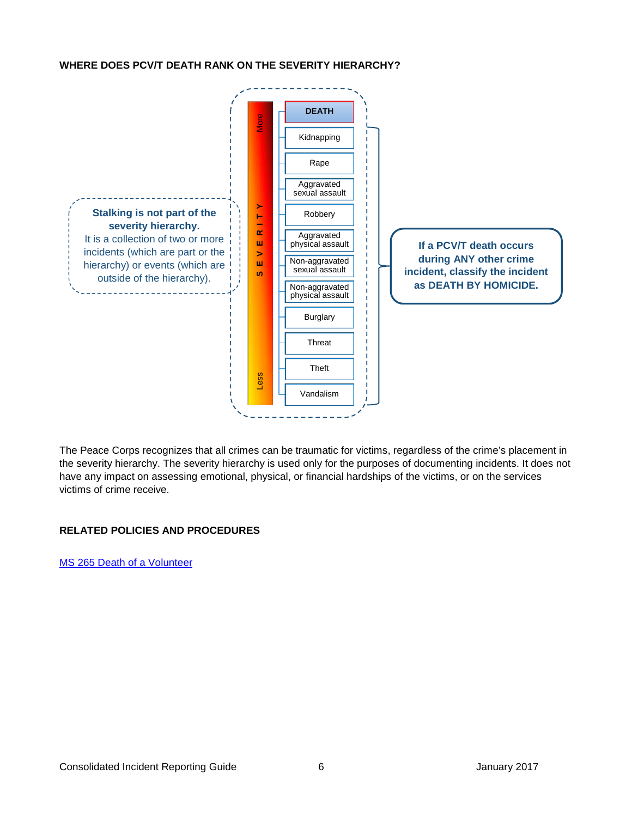#### **WHERE DOES PCV/T DEATH RANK ON THE SEVERITY HIERARCHY?**



The Peace Corps recognizes that all crimes can be traumatic for victims, regardless of the crime's placement in the severity hierarchy. The severity hierarchy is used only for the purposes of documenting incidents. It does not have any impact on assessing emotional, physical, or financial hardships of the victims, or on the services victims of crime receive.

#### **RELATED POLICIES AND PROCEDURES**

[MS 265 Death of a Volunteer](https://intranet.peacecorps.gov/pcmanual/_layouts/15/WopiFrame.aspx?sourcedoc=/pcmanual/Documents/MS-265-Policy.docx&action=default)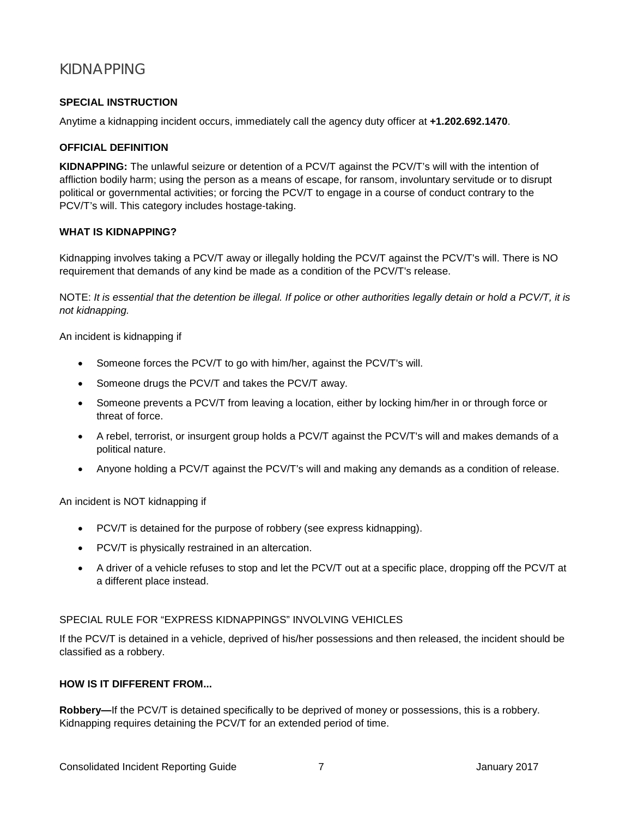## <span id="page-10-0"></span>KIDNAPPING

#### **SPECIAL INSTRUCTION**

Anytime a kidnapping incident occurs, immediately call the agency duty officer at **+1.202.692.1470**.

#### **OFFICIAL DEFINITION**

**KIDNAPPING:** The unlawful seizure or detention of a PCV/T against the PCV/T's will with the intention of affliction bodily harm; using the person as a means of escape, for ransom, involuntary servitude or to disrupt political or governmental activities; or forcing the PCV/T to engage in a course of conduct contrary to the PCV/T's will. This category includes hostage-taking.

#### **WHAT IS KIDNAPPING?**

Kidnapping involves taking a PCV/T away or illegally holding the PCV/T against the PCV/T's will. There is NO requirement that demands of any kind be made as a condition of the PCV/T's release.

NOTE: *It is essential that the detention be illegal. If police or other authorities legally detain or hold a PCV/T, it is not kidnapping.*

An incident is kidnapping if

- Someone forces the PCV/T to go with him/her, against the PCV/T's will.
- Someone drugs the PCV/T and takes the PCV/T away.
- Someone prevents a PCV/T from leaving a location, either by locking him/her in or through force or threat of force.
- A rebel, terrorist, or insurgent group holds a PCV/T against the PCV/T's will and makes demands of a political nature.
- Anyone holding a PCV/T against the PCV/T's will and making any demands as a condition of release.

An incident is NOT kidnapping if

- PCV/T is detained for the purpose of robbery (see express kidnapping).
- PCV/T is physically restrained in an altercation.
- A driver of a vehicle refuses to stop and let the PCV/T out at a specific place, dropping off the PCV/T at a different place instead.

#### SPECIAL RULE FOR "EXPRESS KIDNAPPINGS" INVOLVING VEHICLES

If the PCV/T is detained in a vehicle, deprived of his/her possessions and then released, the incident should be classified as a robbery.

#### **HOW IS IT DIFFERENT FROM...**

**Robbery—**If the PCV/T is detained specifically to be deprived of money or possessions, this is a robbery. Kidnapping requires detaining the PCV/T for an extended period of time.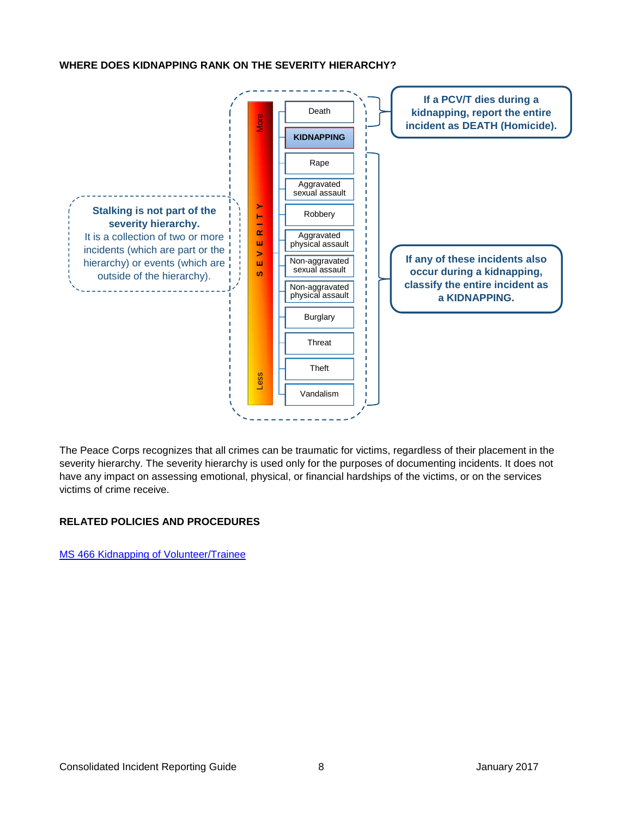#### **WHERE DOES KIDNAPPING RANK ON THE SEVERITY HIERARCHY?**



The Peace Corps recognizes that all crimes can be traumatic for victims, regardless of their placement in the severity hierarchy. The severity hierarchy is used only for the purposes of documenting incidents. It does not have any impact on assessing emotional, physical, or financial hardships of the victims, or on the services victims of crime receive.

#### **RELATED POLICIES AND PROCEDURES**

[MS 466 Kidnapping of Volunteer/](https://intranet.peacecorps.gov/pcmanual/_layouts/15/WopiFrame.aspx?sourcedoc=/pcmanual/Documents/MS-466-Policy.docx&action=default)Trainee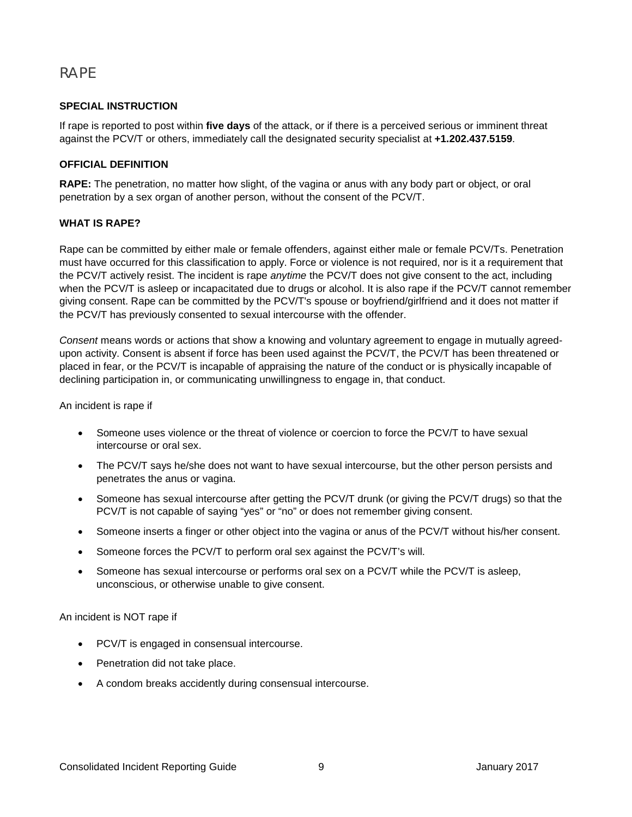### <span id="page-12-0"></span>RAPE

#### **SPECIAL INSTRUCTION**

If rape is reported to post within **five days** of the attack, or if there is a perceived serious or imminent threat against the PCV/T or others, immediately call the designated security specialist at **+1.202.437.5159**.

#### **OFFICIAL DEFINITION**

**RAPE:** The penetration, no matter how slight, of the vagina or anus with any body part or object, or oral penetration by a sex organ of another person, without the consent of the PCV/T.

#### **WHAT IS RAPE?**

Rape can be committed by either male or female offenders, against either male or female PCV/Ts. Penetration must have occurred for this classification to apply. Force or violence is not required, nor is it a requirement that the PCV/T actively resist. The incident is rape *anytime* the PCV/T does not give consent to the act, including when the PCV/T is asleep or incapacitated due to drugs or alcohol. It is also rape if the PCV/T cannot remember giving consent. Rape can be committed by the PCV/T's spouse or boyfriend/girlfriend and it does not matter if the PCV/T has previously consented to sexual intercourse with the offender.

*Consent* means words or actions that show a knowing and voluntary agreement to engage in mutually agreedupon activity. Consent is absent if force has been used against the PCV/T, the PCV/T has been threatened or placed in fear, or the PCV/T is incapable of appraising the nature of the conduct or is physically incapable of declining participation in, or communicating unwillingness to engage in, that conduct.

An incident is rape if

- Someone uses violence or the threat of violence or coercion to force the PCV/T to have sexual intercourse or oral sex.
- The PCV/T says he/she does not want to have sexual intercourse, but the other person persists and penetrates the anus or vagina.
- Someone has sexual intercourse after getting the PCV/T drunk (or giving the PCV/T drugs) so that the PCV/T is not capable of saying "yes" or "no" or does not remember giving consent.
- Someone inserts a finger or other object into the vagina or anus of the PCV/T without his/her consent.
- Someone forces the PCV/T to perform oral sex against the PCV/T's will.
- Someone has sexual intercourse or performs oral sex on a PCV/T while the PCV/T is asleep, unconscious, or otherwise unable to give consent.

An incident is NOT rape if

- PCV/T is engaged in consensual intercourse.
- Penetration did not take place.
- A condom breaks accidently during consensual intercourse.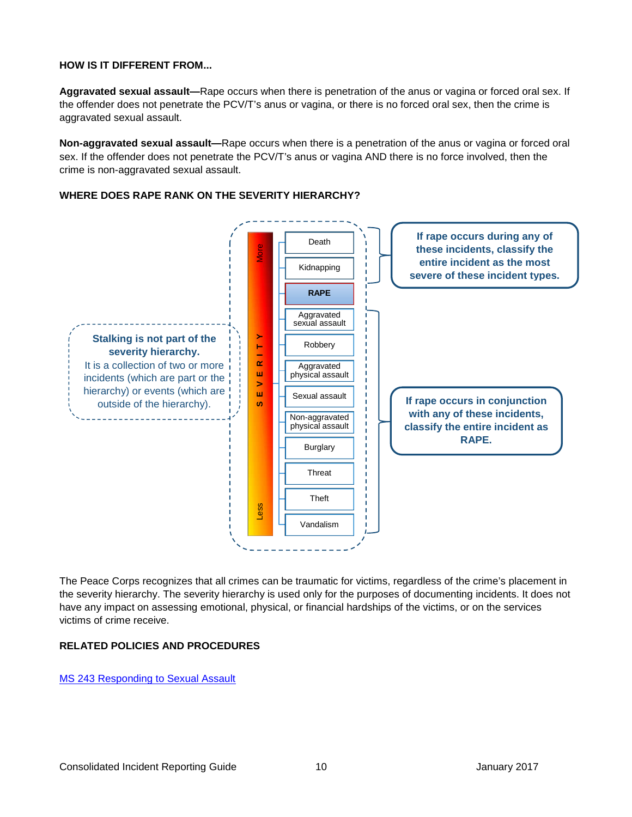#### **HOW IS IT DIFFERENT FROM...**

**Aggravated sexual assault—**Rape occurs when there is penetration of the anus or vagina or forced oral sex. If the offender does not penetrate the PCV/T's anus or vagina, or there is no forced oral sex, then the crime is aggravated sexual assault.

**Non-aggravated sexual assault—**Rape occurs when there is a penetration of the anus or vagina or forced oral sex. If the offender does not penetrate the PCV/T's anus or vagina AND there is no force involved, then the crime is non-aggravated sexual assault.

#### **WHERE DOES RAPE RANK ON THE SEVERITY HIERARCHY?**



The Peace Corps recognizes that all crimes can be traumatic for victims, regardless of the crime's placement in the severity hierarchy. The severity hierarchy is used only for the purposes of documenting incidents. It does not have any impact on assessing emotional, physical, or financial hardships of the victims, or on the services victims of crime receive.

#### **RELATED POLICIES AND PROCEDURES**

[MS 243 Responding to Sexual Assault](https://intranet.peacecorps.gov/pcmanual/_layouts/15/WopiFrame.aspx?sourcedoc=/pcmanual/Documents/MS-243-Policy.docx&action=default)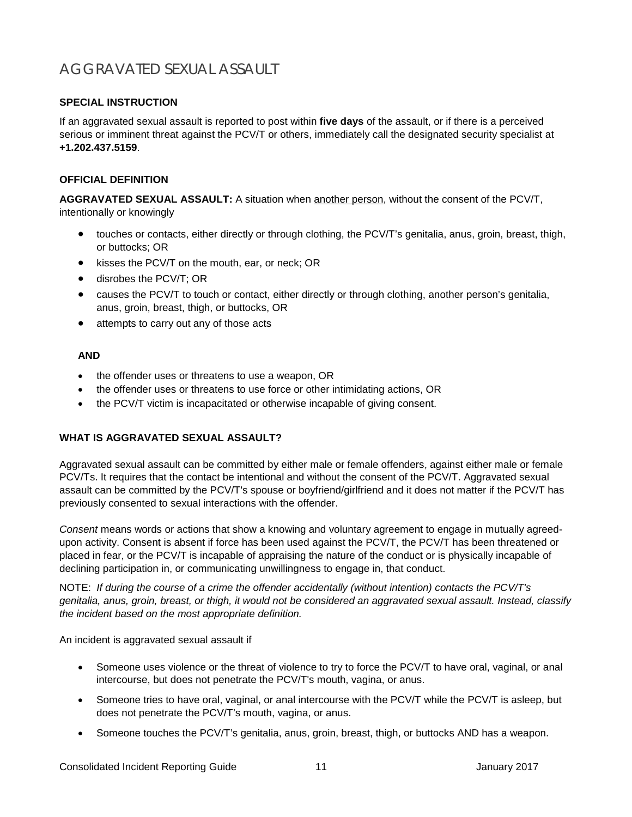## <span id="page-14-0"></span>AGGRAVATED SEXUAL ASSAULT

#### **SPECIAL INSTRUCTION**

If an aggravated sexual assault is reported to post within **five days** of the assault, or if there is a perceived serious or imminent threat against the PCV/T or others, immediately call the designated security specialist at **+1.202.437.5159**.

#### **OFFICIAL DEFINITION**

**AGGRAVATED SEXUAL ASSAULT:** A situation when another person, without the consent of the PCV/T, intentionally or knowingly

- touches or contacts, either directly or through clothing, the PCV/T's genitalia, anus, groin, breast, thigh, or buttocks; OR
- kisses the PCV/T on the mouth, ear, or neck; OR
- disrobes the PCV/T; OR
- causes the PCV/T to touch or contact, either directly or through clothing, another person's genitalia, anus, groin, breast, thigh, or buttocks, OR
- attempts to carry out any of those acts

#### **AND**

- the offender uses or threatens to use a weapon, OR
- the offender uses or threatens to use force or other intimidating actions, OR
- the PCV/T victim is incapacitated or otherwise incapable of giving consent.

#### **WHAT IS AGGRAVATED SEXUAL ASSAULT?**

Aggravated sexual assault can be committed by either male or female offenders, against either male or female PCV/Ts. It requires that the contact be intentional and without the consent of the PCV/T. Aggravated sexual assault can be committed by the PCV/T's spouse or boyfriend/girlfriend and it does not matter if the PCV/T has previously consented to sexual interactions with the offender.

*Consent* means words or actions that show a knowing and voluntary agreement to engage in mutually agreedupon activity. Consent is absent if force has been used against the PCV/T, the PCV/T has been threatened or placed in fear, or the PCV/T is incapable of appraising the nature of the conduct or is physically incapable of declining participation in, or communicating unwillingness to engage in, that conduct.

NOTE: *If during the course of a crime the offender accidentally (without intention) contacts the PCV/T's genitalia, anus, groin, breast, or thigh, it would not be considered an aggravated sexual assault. Instead, classify the incident based on the most appropriate definition.*

An incident is aggravated sexual assault if

- Someone uses violence or the threat of violence to try to force the PCV/T to have oral, vaginal, or anal intercourse, but does not penetrate the PCV/T's mouth, vagina, or anus.
- Someone tries to have oral, vaginal, or anal intercourse with the PCV/T while the PCV/T is asleep, but does not penetrate the PCV/T's mouth, vagina, or anus.
- Someone touches the PCV/T's genitalia, anus, groin, breast, thigh, or buttocks AND has a weapon.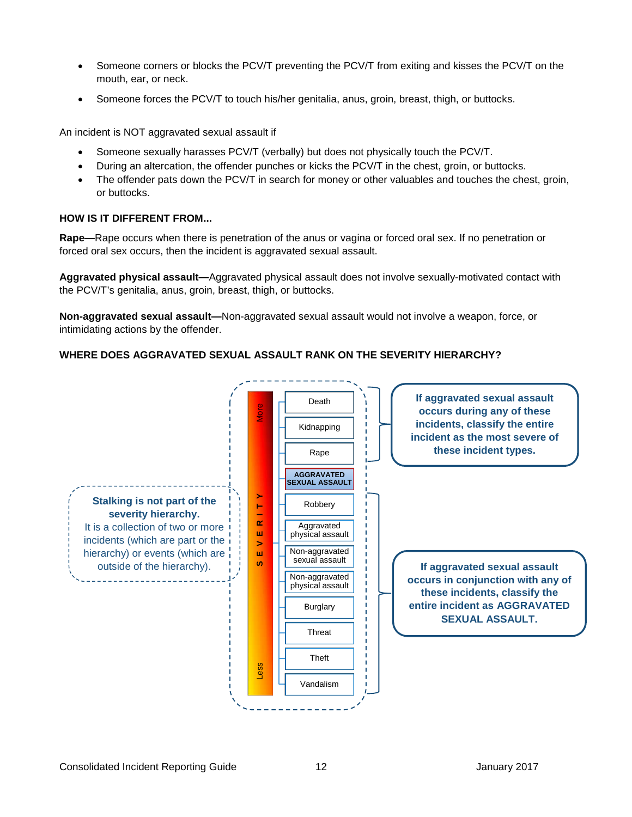- Someone corners or blocks the PCV/T preventing the PCV/T from exiting and kisses the PCV/T on the mouth, ear, or neck.
- Someone forces the PCV/T to touch his/her genitalia, anus, groin, breast, thigh, or buttocks.

An incident is NOT aggravated sexual assault if

- Someone sexually harasses PCV/T (verbally) but does not physically touch the PCV/T.
- During an altercation, the offender punches or kicks the PCV/T in the chest, groin, or buttocks.
- The offender pats down the PCV/T in search for money or other valuables and touches the chest, groin, or buttocks.

#### **HOW IS IT DIFFERENT FROM...**

**Rape—**Rape occurs when there is penetration of the anus or vagina or forced oral sex. If no penetration or forced oral sex occurs, then the incident is aggravated sexual assault.

**Aggravated physical assault—**Aggravated physical assault does not involve sexually-motivated contact with the PCV/T's genitalia, anus, groin, breast, thigh, or buttocks.

**Non-aggravated sexual assault—**Non-aggravated sexual assault would not involve a weapon, force, or intimidating actions by the offender.

#### **WHERE DOES AGGRAVATED SEXUAL ASSAULT RANK ON THE SEVERITY HIERARCHY?**

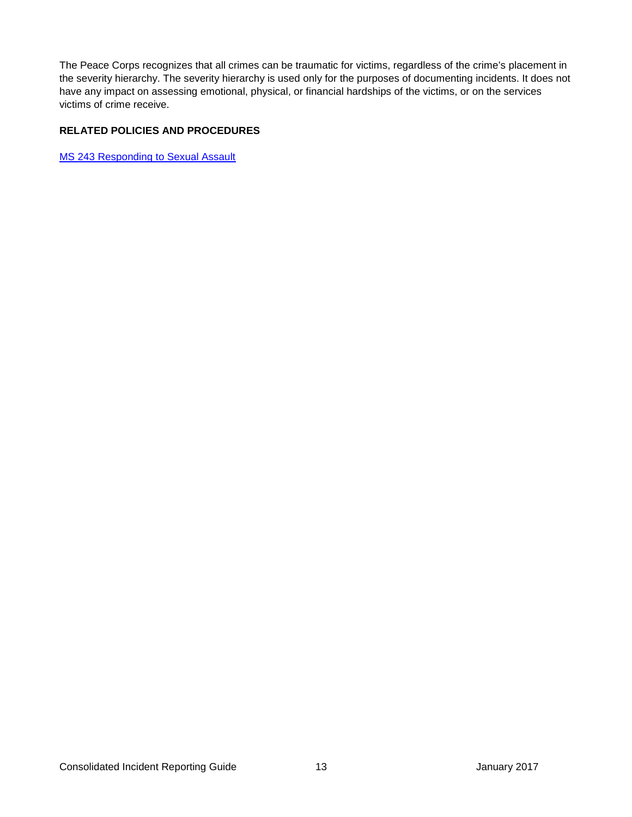The Peace Corps recognizes that all crimes can be traumatic for victims, regardless of the crime's placement in the severity hierarchy. The severity hierarchy is used only for the purposes of documenting incidents. It does not have any impact on assessing emotional, physical, or financial hardships of the victims, or on the services victims of crime receive.

#### **RELATED POLICIES AND PROCEDURES**

<span id="page-16-0"></span>[MS 243 Responding to Sexual Assault](https://intranet.peacecorps.gov/pcmanual/_layouts/15/WopiFrame.aspx?sourcedoc=/pcmanual/Documents/MS-243-Policy.docx&action=default)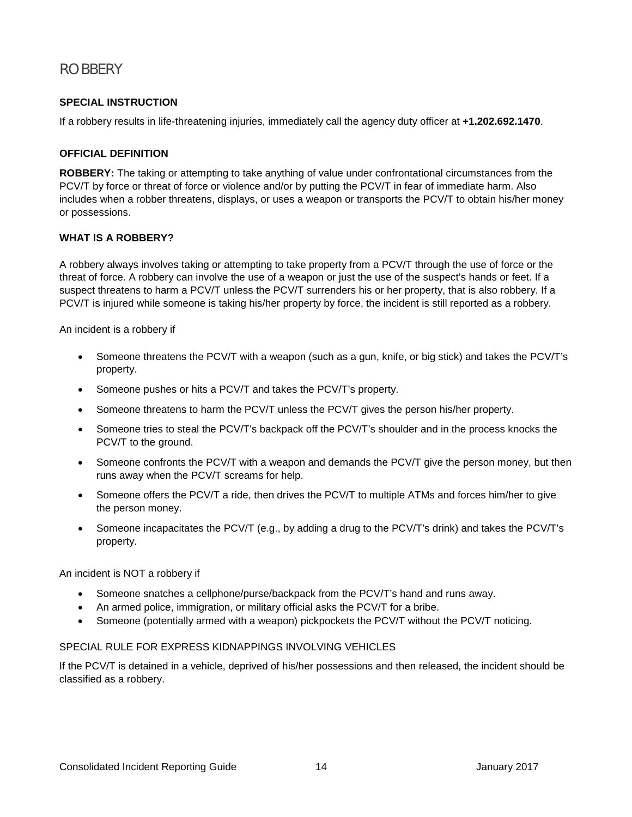## <span id="page-17-0"></span>ROBBERY

#### **SPECIAL INSTRUCTION**

If a robbery results in life-threatening injuries, immediately call the agency duty officer at **+1.202.692.1470**.

#### **OFFICIAL DEFINITION**

**ROBBERY:** The taking or attempting to take anything of value under confrontational circumstances from the PCV/T by force or threat of force or violence and/or by putting the PCV/T in fear of immediate harm. Also includes when a robber threatens, displays, or uses a weapon or transports the PCV/T to obtain his/her money or possessions.

#### **WHAT IS A ROBBERY?**

A robbery always involves taking or attempting to take property from a PCV/T through the use of force or the threat of force. A robbery can involve the use of a weapon or just the use of the suspect's hands or feet. If a suspect threatens to harm a PCV/T unless the PCV/T surrenders his or her property, that is also robbery. If a PCV/T is injured while someone is taking his/her property by force, the incident is still reported as a robbery.

An incident is a robbery if

- Someone threatens the PCV/T with a weapon (such as a gun, knife, or big stick) and takes the PCV/T's property.
- Someone pushes or hits a PCV/T and takes the PCV/T's property.
- Someone threatens to harm the PCV/T unless the PCV/T gives the person his/her property.
- Someone tries to steal the PCV/T's backpack off the PCV/T's shoulder and in the process knocks the PCV/T to the ground.
- Someone confronts the PCV/T with a weapon and demands the PCV/T give the person money, but then runs away when the PCV/T screams for help.
- Someone offers the PCV/T a ride, then drives the PCV/T to multiple ATMs and forces him/her to give the person money.
- Someone incapacitates the PCV/T (e.g., by adding a drug to the PCV/T's drink) and takes the PCV/T's property.

An incident is NOT a robbery if

- Someone snatches a cellphone/purse/backpack from the PCV/T's hand and runs away.
- An armed police, immigration, or military official asks the PCV/T for a bribe.
- Someone (potentially armed with a weapon) pickpockets the PCV/T without the PCV/T noticing.

#### SPECIAL RULE FOR EXPRESS KIDNAPPINGS INVOLVING VEHICLES

If the PCV/T is detained in a vehicle, deprived of his/her possessions and then released, the incident should be classified as a robbery.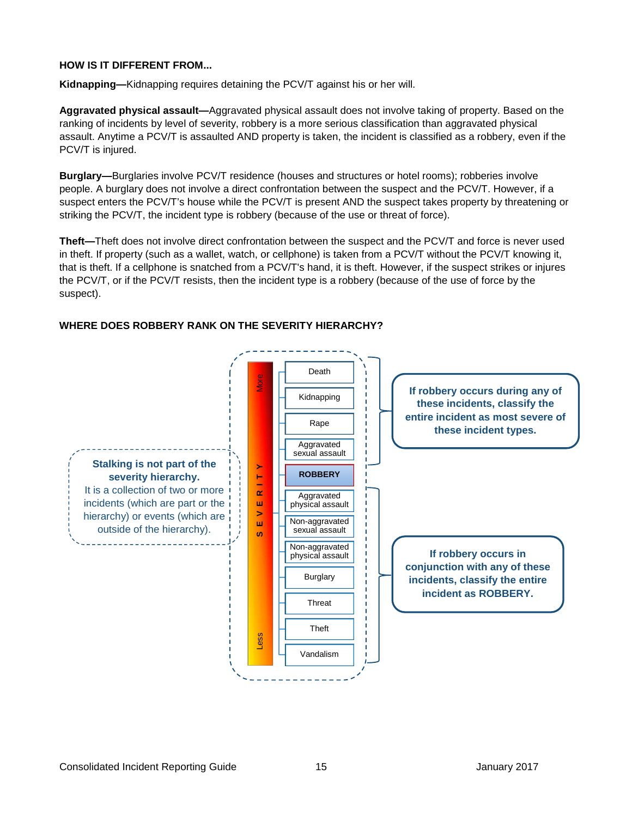#### **HOW IS IT DIFFERENT FROM...**

**Kidnapping—**Kidnapping requires detaining the PCV/T against his or her will.

**Aggravated physical assault—**Aggravated physical assault does not involve taking of property. Based on the ranking of incidents by level of severity, robbery is a more serious classification than aggravated physical assault. Anytime a PCV/T is assaulted AND property is taken, the incident is classified as a robbery, even if the PCV/T is injured.

**Burglary—**Burglaries involve PCV/T residence (houses and structures or hotel rooms); robberies involve people. A burglary does not involve a direct confrontation between the suspect and the PCV/T. However, if a suspect enters the PCV/T's house while the PCV/T is present AND the suspect takes property by threatening or striking the PCV/T, the incident type is robbery (because of the use or threat of force).

**Theft—**Theft does not involve direct confrontation between the suspect and the PCV/T and force is never used in theft. If property (such as a wallet, watch, or cellphone) is taken from a PCV/T without the PCV/T knowing it, that is theft. If a cellphone is snatched from a PCV/T's hand, it is theft. However, if the suspect strikes or injures the PCV/T, or if the PCV/T resists, then the incident type is a robbery (because of the use of force by the suspect).



#### **WHERE DOES ROBBERY RANK ON THE SEVERITY HIERARCHY?**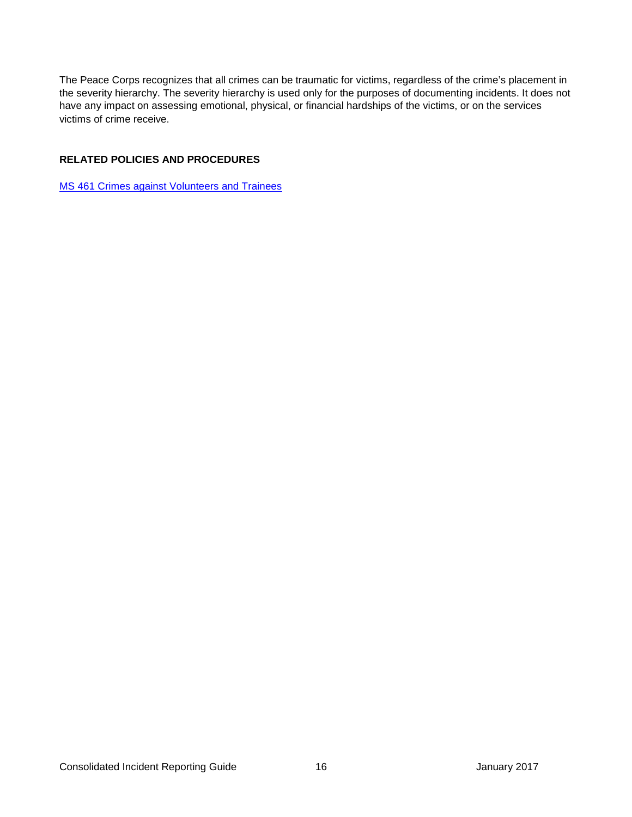The Peace Corps recognizes that all crimes can be traumatic for victims, regardless of the crime's placement in the severity hierarchy. The severity hierarchy is used only for the purposes of documenting incidents. It does not have any impact on assessing emotional, physical, or financial hardships of the victims, or on the services victims of crime receive.

#### **RELATED POLICIES AND PROCEDURES**

<span id="page-19-0"></span>[MS 461 Crimes against Volunteers](https://intranet.peacecorps.gov/pcmanual/_layouts/15/WopiFrame.aspx?sourcedoc=/pcmanual/Documents/MS-461-Policy.docx&action=default) and Trainees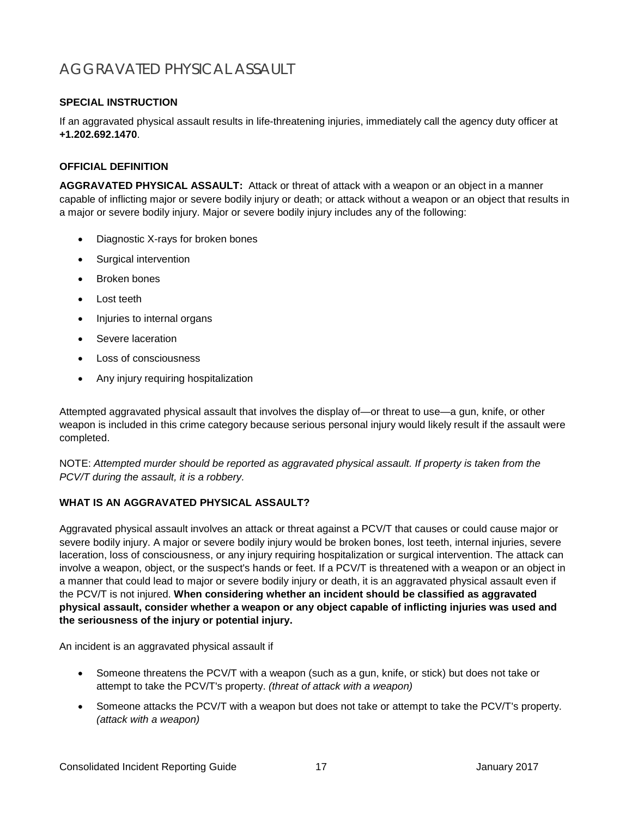## <span id="page-20-0"></span>AGGRAVATED PHYSICAL ASSAULT

#### **SPECIAL INSTRUCTION**

If an aggravated physical assault results in life-threatening injuries, immediately call the agency duty officer at **+1.202.692.1470**.

#### **OFFICIAL DEFINITION**

**AGGRAVATED PHYSICAL ASSAULT:** Attack or threat of attack with a weapon or an object in a manner capable of inflicting major or severe bodily injury or death; or attack without a weapon or an object that results in a major or severe bodily injury. Major or severe bodily injury includes any of the following:

- Diagnostic X-rays for broken bones
- Surgical intervention
- Broken bones
- Lost teeth
- Injuries to internal organs
- Severe laceration
- Loss of consciousness
- Any injury requiring hospitalization

Attempted aggravated physical assault that involves the display of—or threat to use—a gun, knife, or other weapon is included in this crime category because serious personal injury would likely result if the assault were completed.

NOTE: *Attempted murder should be reported as aggravated physical assault. If property is taken from the PCV/T during the assault, it is a robbery.*

#### **WHAT IS AN AGGRAVATED PHYSICAL ASSAULT?**

Aggravated physical assault involves an attack or threat against a PCV/T that causes or could cause major or severe bodily injury. A major or severe bodily injury would be broken bones, lost teeth, internal injuries, severe laceration, loss of consciousness, or any injury requiring hospitalization or surgical intervention. The attack can involve a weapon, object, or the suspect's hands or feet. If a PCV/T is threatened with a weapon or an object in a manner that could lead to major or severe bodily injury or death, it is an aggravated physical assault even if the PCV/T is not injured. **When considering whether an incident should be classified as aggravated physical assault, consider whether a weapon or any object capable of inflicting injuries was used and the seriousness of the injury or potential injury.**

An incident is an aggravated physical assault if

- Someone threatens the PCV/T with a weapon (such as a gun, knife, or stick) but does not take or attempt to take the PCV/T's property. *(threat of attack with a weapon)*
- Someone attacks the PCV/T with a weapon but does not take or attempt to take the PCV/T's property. *(attack with a weapon)*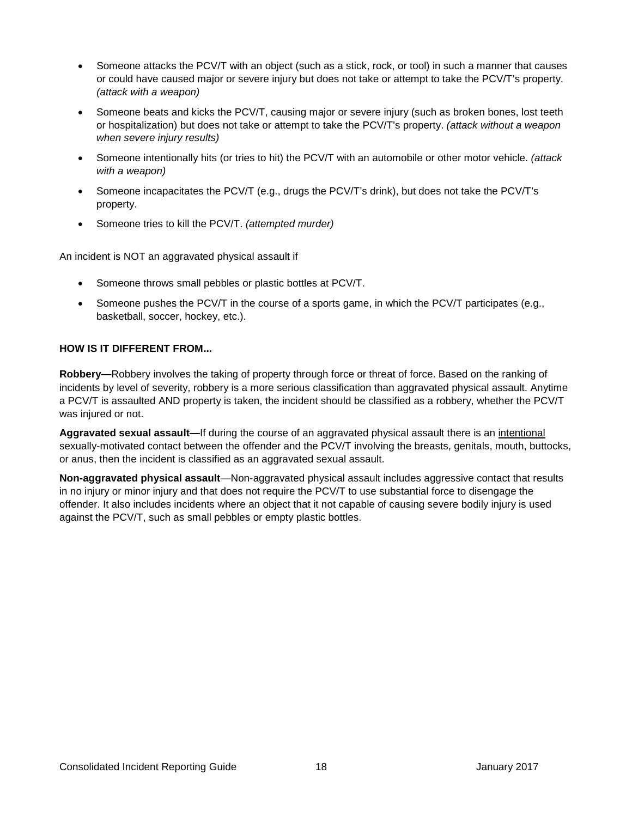- Someone attacks the PCV/T with an object (such as a stick, rock, or tool) in such a manner that causes or could have caused major or severe injury but does not take or attempt to take the PCV/T's property. *(attack with a weapon)*
- Someone beats and kicks the PCV/T, causing major or severe injury (such as broken bones, lost teeth or hospitalization) but does not take or attempt to take the PCV/T's property. *(attack without a weapon when severe injury results)*
- Someone intentionally hits (or tries to hit) the PCV/T with an automobile or other motor vehicle. *(attack with a weapon)*
- Someone incapacitates the PCV/T (e.g., drugs the PCV/T's drink), but does not take the PCV/T's property.
- Someone tries to kill the PCV/T. *(attempted murder)*

An incident is NOT an aggravated physical assault if

- Someone throws small pebbles or plastic bottles at PCV/T.
- Someone pushes the PCV/T in the course of a sports game, in which the PCV/T participates (e.g., basketball, soccer, hockey, etc.).

#### **HOW IS IT DIFFERENT FROM...**

**Robbery—**Robbery involves the taking of property through force or threat of force. Based on the ranking of incidents by level of severity, robbery is a more serious classification than aggravated physical assault. Anytime a PCV/T is assaulted AND property is taken, the incident should be classified as a robbery, whether the PCV/T was injured or not.

**Aggravated sexual assault—**If during the course of an aggravated physical assault there is an intentional sexually-motivated contact between the offender and the PCV/T involving the breasts, genitals, mouth, buttocks, or anus, then the incident is classified as an aggravated sexual assault.

**Non-aggravated physical assault**—Non-aggravated physical assault includes aggressive contact that results in no injury or minor injury and that does not require the PCV/T to use substantial force to disengage the offender. It also includes incidents where an object that it not capable of causing severe bodily injury is used against the PCV/T, such as small pebbles or empty plastic bottles.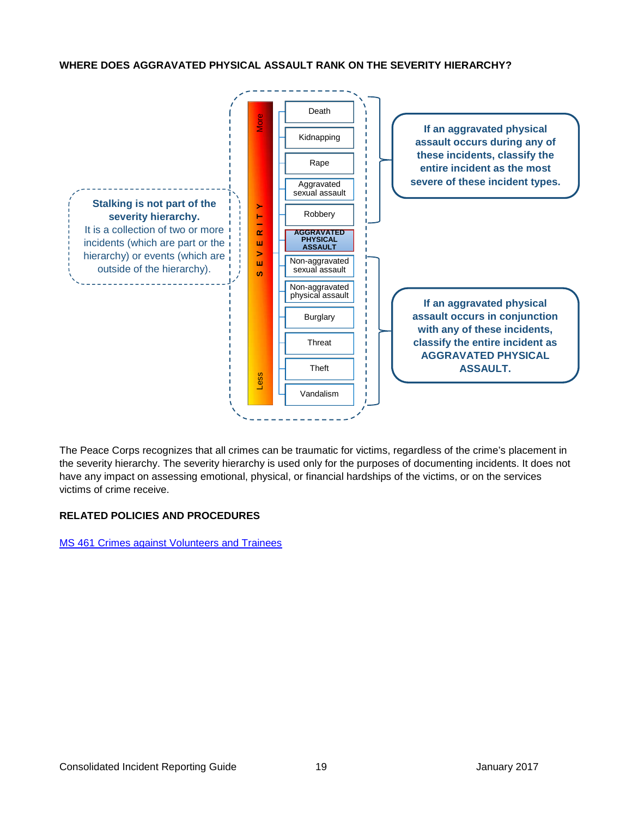#### **WHERE DOES AGGRAVATED PHYSICAL ASSAULT RANK ON THE SEVERITY HIERARCHY?**



The Peace Corps recognizes that all crimes can be traumatic for victims, regardless of the crime's placement in the severity hierarchy. The severity hierarchy is used only for the purposes of documenting incidents. It does not have any impact on assessing emotional, physical, or financial hardships of the victims, or on the services victims of crime receive.

#### **RELATED POLICIES AND PROCEDURES**

<span id="page-22-0"></span>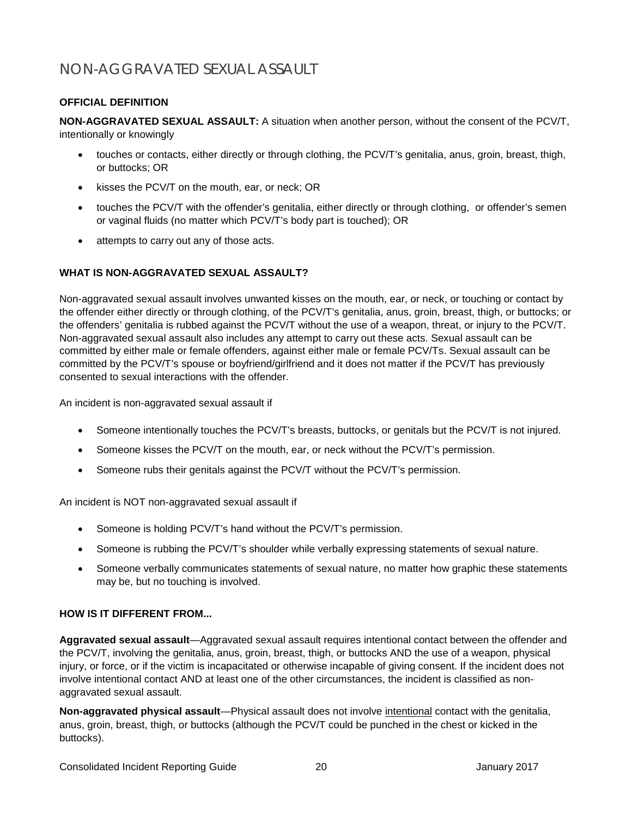## <span id="page-23-0"></span>NON-AGGRAVATED SEXUAL ASSAULT

#### **OFFICIAL DEFINITION**

**NON-AGGRAVATED SEXUAL ASSAULT:** A situation when another person, without the consent of the PCV/T, intentionally or knowingly

- touches or contacts, either directly or through clothing, the PCV/T's genitalia, anus, groin, breast, thigh, or buttocks; OR
- kisses the PCV/T on the mouth, ear, or neck; OR
- touches the PCV/T with the offender's genitalia, either directly or through clothing, or offender's semen or vaginal fluids (no matter which PCV/T's body part is touched); OR
- attempts to carry out any of those acts.

#### **WHAT IS NON-AGGRAVATED SEXUAL ASSAULT?**

Non-aggravated sexual assault involves unwanted kisses on the mouth, ear, or neck, or touching or contact by the offender either directly or through clothing, of the PCV/T's genitalia, anus, groin, breast, thigh, or buttocks; or the offenders' genitalia is rubbed against the PCV/T without the use of a weapon, threat, or injury to the PCV/T. Non-aggravated sexual assault also includes any attempt to carry out these acts. Sexual assault can be committed by either male or female offenders, against either male or female PCV/Ts. Sexual assault can be committed by the PCV/T's spouse or boyfriend/girlfriend and it does not matter if the PCV/T has previously consented to sexual interactions with the offender.

An incident is non-aggravated sexual assault if

- Someone intentionally touches the PCV/T's breasts, buttocks, or genitals but the PCV/T is not injured.
- Someone kisses the PCV/T on the mouth, ear, or neck without the PCV/T's permission.
- Someone rubs their genitals against the PCV/T without the PCV/T's permission.

An incident is NOT non-aggravated sexual assault if

- Someone is holding PCV/T's hand without the PCV/T's permission.
- Someone is rubbing the PCV/T's shoulder while verbally expressing statements of sexual nature.
- Someone verbally communicates statements of sexual nature, no matter how graphic these statements may be, but no touching is involved.

#### **HOW IS IT DIFFERENT FROM...**

**Aggravated sexual assault**—Aggravated sexual assault requires intentional contact between the offender and the PCV/T, involving the genitalia, anus, groin, breast, thigh, or buttocks AND the use of a weapon, physical injury, or force, or if the victim is incapacitated or otherwise incapable of giving consent. If the incident does not involve intentional contact AND at least one of the other circumstances, the incident is classified as nonaggravated sexual assault.

**Non-aggravated physical assault**—Physical assault does not involve intentional contact with the genitalia, anus, groin, breast, thigh, or buttocks (although the PCV/T could be punched in the chest or kicked in the buttocks).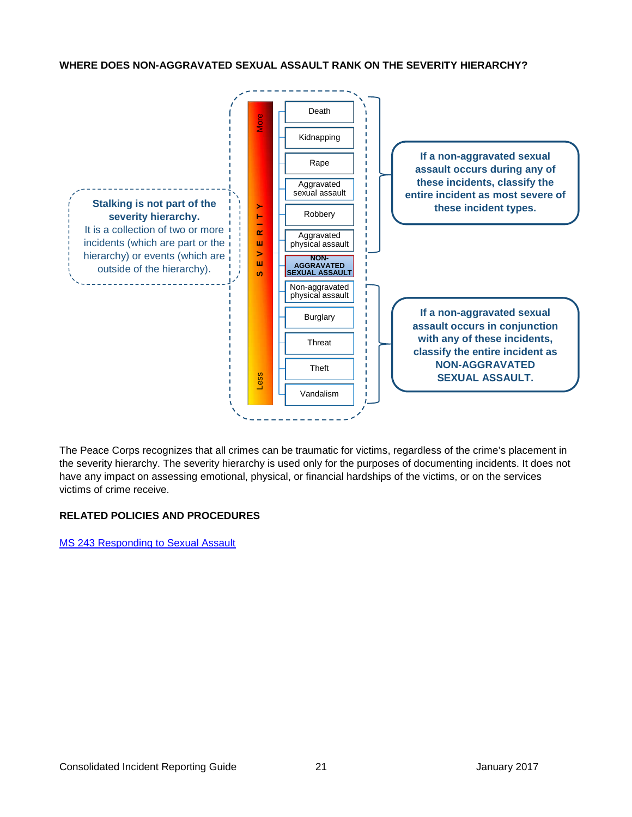#### **WHERE DOES NON-AGGRAVATED SEXUAL ASSAULT RANK ON THE SEVERITY HIERARCHY?**



The Peace Corps recognizes that all crimes can be traumatic for victims, regardless of the crime's placement in the severity hierarchy. The severity hierarchy is used only for the purposes of documenting incidents. It does not have any impact on assessing emotional, physical, or financial hardships of the victims, or on the services victims of crime receive.

#### **RELATED POLICIES AND PROCEDURES**

<span id="page-24-0"></span>[MS 243 Responding to Sexual Assault](https://intranet.peacecorps.gov/pcmanual/_layouts/15/WopiFrame.aspx?sourcedoc=/pcmanual/Documents/MS-243-Policy.docx&action=default)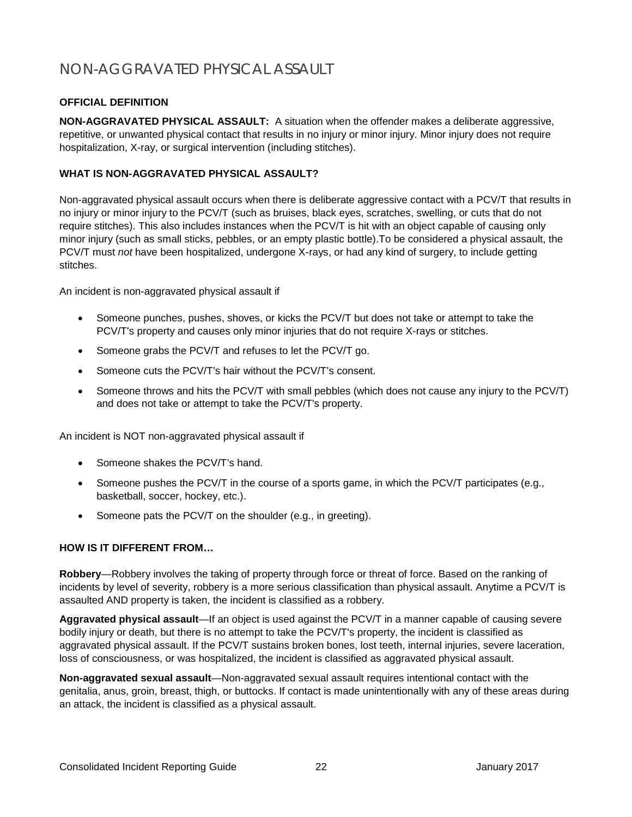## <span id="page-25-0"></span>NON-AGGRAVATED PHYSICAL ASSAULT

#### **OFFICIAL DEFINITION**

**NON-AGGRAVATED PHYSICAL ASSAULT:** A situation when the offender makes a deliberate aggressive, repetitive, or unwanted physical contact that results in no injury or minor injury. Minor injury does not require hospitalization, X-ray, or surgical intervention (including stitches).

#### **WHAT IS NON-AGGRAVATED PHYSICAL ASSAULT?**

Non-aggravated physical assault occurs when there is deliberate aggressive contact with a PCV/T that results in no injury or minor injury to the PCV/T (such as bruises, black eyes, scratches, swelling, or cuts that do not require stitches). This also includes instances when the PCV/T is hit with an object capable of causing only minor injury (such as small sticks, pebbles, or an empty plastic bottle).To be considered a physical assault, the PCV/T must *not* have been hospitalized, undergone X-rays, or had any kind of surgery, to include getting stitches.

An incident is non-aggravated physical assault if

- Someone punches, pushes, shoves, or kicks the PCV/T but does not take or attempt to take the PCV/T's property and causes only minor injuries that do not require X-rays or stitches.
- Someone grabs the PCV/T and refuses to let the PCV/T go.
- Someone cuts the PCV/T's hair without the PCV/T's consent.
- Someone throws and hits the PCV/T with small pebbles (which does not cause any injury to the PCV/T) and does not take or attempt to take the PCV/T's property.

An incident is NOT non-aggravated physical assault if

- Someone shakes the PCV/T's hand.
- Someone pushes the PCV/T in the course of a sports game, in which the PCV/T participates (e.g., basketball, soccer, hockey, etc.).
- Someone pats the PCV/T on the shoulder (e.g., in greeting).

#### **HOW IS IT DIFFERENT FROM…**

**Robbery**—Robbery involves the taking of property through force or threat of force. Based on the ranking of incidents by level of severity, robbery is a more serious classification than physical assault. Anytime a PCV/T is assaulted AND property is taken, the incident is classified as a robbery.

**Aggravated physical assault**—If an object is used against the PCV/T in a manner capable of causing severe bodily injury or death, but there is no attempt to take the PCV/T's property, the incident is classified as aggravated physical assault. If the PCV/T sustains broken bones, lost teeth, internal injuries, severe laceration, loss of consciousness, or was hospitalized, the incident is classified as aggravated physical assault.

**Non-aggravated sexual assault**—Non-aggravated sexual assault requires intentional contact with the genitalia, anus, groin, breast, thigh, or buttocks. If contact is made unintentionally with any of these areas during an attack, the incident is classified as a physical assault.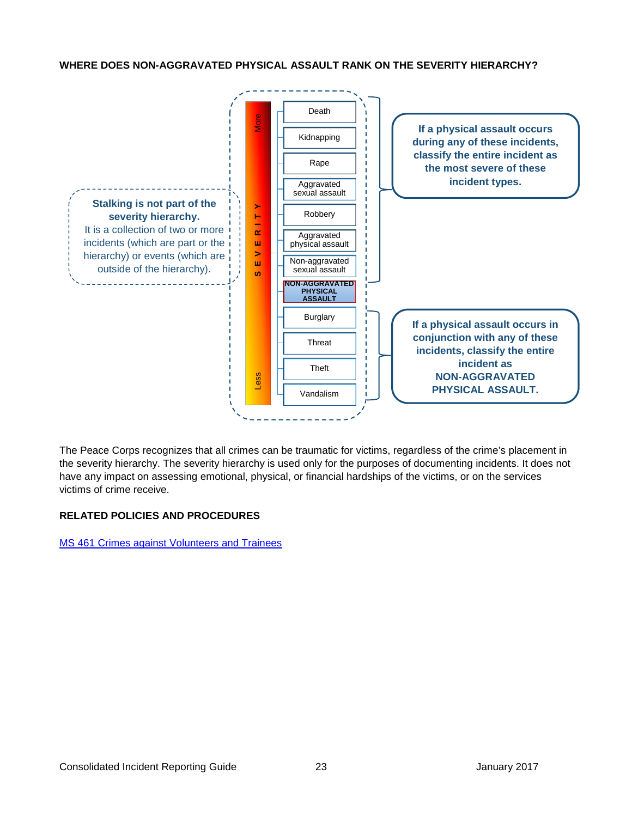**WHERE DOES NON-AGGRAVATED PHYSICAL ASSAULT RANK ON THE SEVERITY HIERARCHY?**



The Peace Corps recognizes that all crimes can be traumatic for victims, regardless of the crime's placement in the severity hierarchy. The severity hierarchy is used only for the purposes of documenting incidents. It does not have any impact on assessing emotional, physical, or financial hardships of the victims, or on the services victims of crime receive.

#### **RELATED POLICIES AND PROCEDURES**

<span id="page-26-0"></span>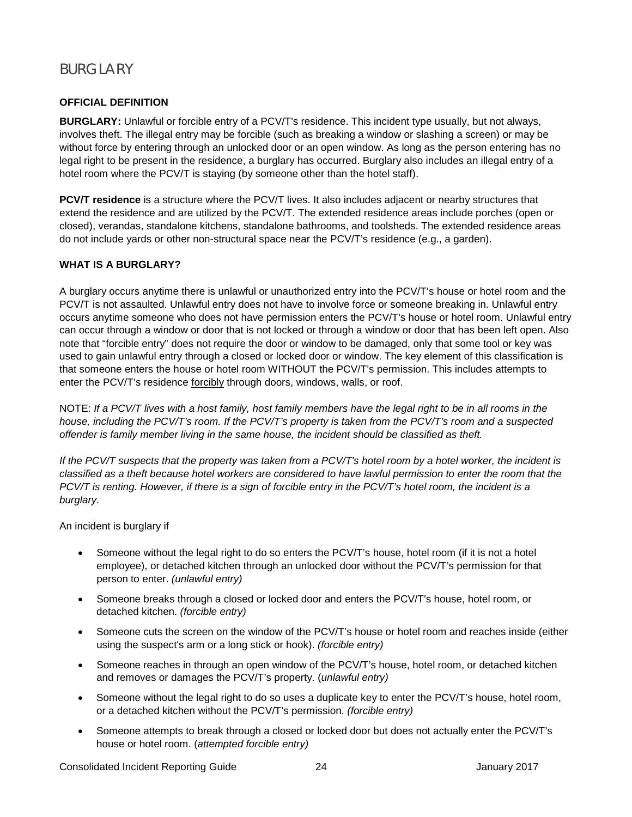## <span id="page-27-0"></span>**BURGLARY**

#### **OFFICIAL DEFINITION**

**BURGLARY:** Unlawful or forcible entry of a PCV/T's residence. This incident type usually, but not always, involves theft. The illegal entry may be forcible (such as breaking a window or slashing a screen) or may be without force by entering through an unlocked door or an open window. As long as the person entering has no legal right to be present in the residence, a burglary has occurred. Burglary also includes an illegal entry of a hotel room where the PCV/T is staying (by someone other than the hotel staff).

**PCV/T residence** is a structure where the PCV/T lives. It also includes adjacent or nearby structures that extend the residence and are utilized by the PCV/T. The extended residence areas include porches (open or closed), verandas, standalone kitchens, standalone bathrooms, and toolsheds. The extended residence areas do not include yards or other non-structural space near the PCV/T's residence (e.g., a garden).

#### **WHAT IS A BURGLARY?**

A burglary occurs anytime there is unlawful or unauthorized entry into the PCV/T's house or hotel room and the PCV/T is not assaulted. Unlawful entry does not have to involve force or someone breaking in. Unlawful entry occurs anytime someone who does not have permission enters the PCV/T's house or hotel room. Unlawful entry can occur through a window or door that is not locked or through a window or door that has been left open. Also note that "forcible entry" does not require the door or window to be damaged, only that some tool or key was used to gain unlawful entry through a closed or locked door or window. The key element of this classification is that someone enters the house or hotel room WITHOUT the PCV/T's permission. This includes attempts to enter the PCV/T's residence forcibly through doors, windows, walls, or roof.

NOTE: *If a PCV/T lives with a host family, host family members have the legal right to be in all rooms in the house, including the PCV/T's room. If the PCV/T's property is taken from the PCV/T's room and a suspected offender is family member living in the same house, the incident should be classified as theft.*

*If the PCV/T suspects that the property was taken from a PCV/T's hotel room by a hotel worker, the incident is classified as a theft because hotel workers are considered to have lawful permission to enter the room that the PCV/T is renting. However, if there is a sign of forcible entry in the PCV/T's hotel room, the incident is a burglary.*

An incident is burglary if

- Someone without the legal right to do so enters the PCV/T's house, hotel room (if it is not a hotel employee), or detached kitchen through an unlocked door without the PCV/T's permission for that person to enter. *(unlawful entry)*
- Someone breaks through a closed or locked door and enters the PCV/T's house, hotel room, or detached kitchen. *(forcible entry)*
- Someone cuts the screen on the window of the PCV/T's house or hotel room and reaches inside (either using the suspect's arm or a long stick or hook). *(forcible entry)*
- Someone reaches in through an open window of the PCV/T's house, hotel room, or detached kitchen and removes or damages the PCV/T's property. (*unlawful entry)*
- Someone without the legal right to do so uses a duplicate key to enter the PCV/T's house, hotel room, or a detached kitchen without the PCV/T's permission. *(forcible entry)*
- Someone attempts to break through a closed or locked door but does not actually enter the PCV/T's house or hotel room. (*attempted forcible entry)*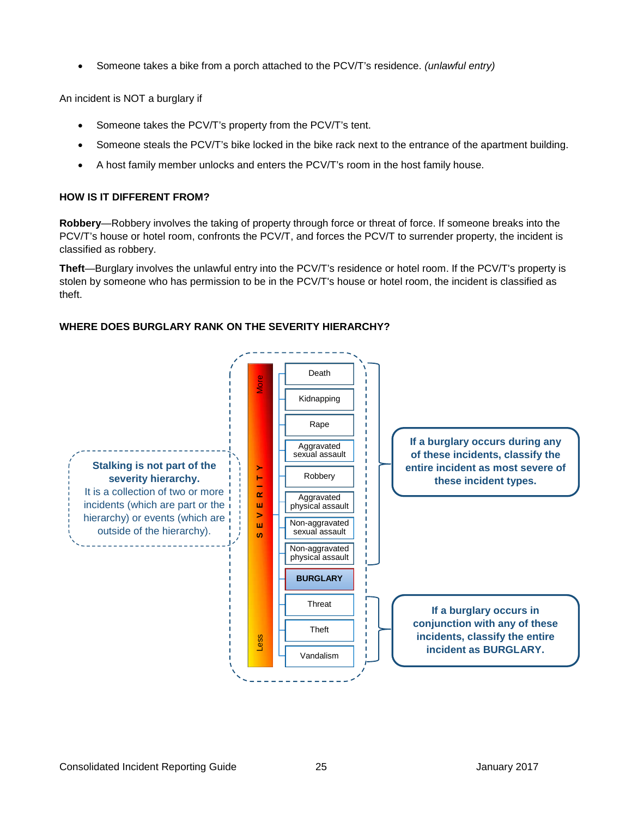• Someone takes a bike from a porch attached to the PCV/T's residence. *(unlawful entry)*

An incident is NOT a burglary if

- Someone takes the PCV/T's property from the PCV/T's tent.
- Someone steals the PCV/T's bike locked in the bike rack next to the entrance of the apartment building.
- A host family member unlocks and enters the PCV/T's room in the host family house.

#### **HOW IS IT DIFFERENT FROM?**

**Robbery**—Robbery involves the taking of property through force or threat of force. If someone breaks into the PCV/T's house or hotel room, confronts the PCV/T, and forces the PCV/T to surrender property, the incident is classified as robbery.

**Theft**—Burglary involves the unlawful entry into the PCV/T's residence or hotel room. If the PCV/T's property is stolen by someone who has permission to be in the PCV/T's house or hotel room, the incident is classified as theft.



#### **WHERE DOES BURGLARY RANK ON THE SEVERITY HIERARCHY?**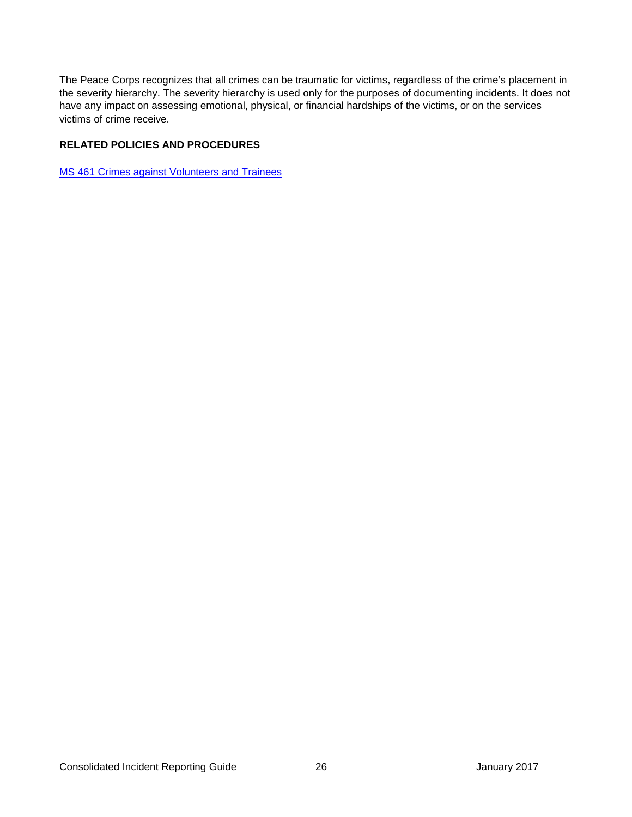The Peace Corps recognizes that all crimes can be traumatic for victims, regardless of the crime's placement in the severity hierarchy. The severity hierarchy is used only for the purposes of documenting incidents. It does not have any impact on assessing emotional, physical, or financial hardships of the victims, or on the services victims of crime receive.

#### **RELATED POLICIES AND PROCEDURES**

<span id="page-29-0"></span>[MS 461 Crimes against Volunteers](https://intranet.peacecorps.gov/pcmanual/_layouts/15/WopiFrame.aspx?sourcedoc=/pcmanual/Documents/MS-461-Policy.docx&action=default) and Trainees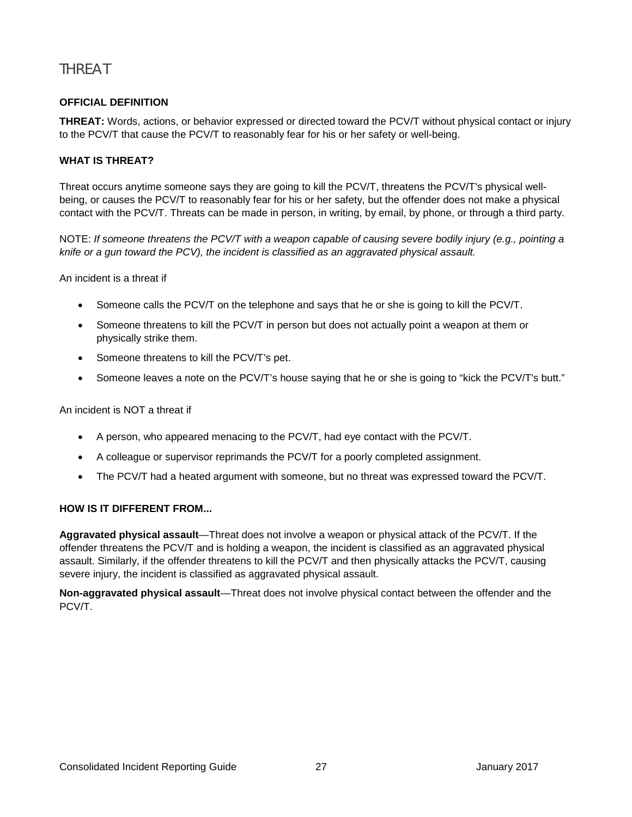## <span id="page-30-0"></span>**THRFAT**

#### **OFFICIAL DEFINITION**

**THREAT:** Words, actions, or behavior expressed or directed toward the PCV/T without physical contact or injury to the PCV/T that cause the PCV/T to reasonably fear for his or her safety or well-being.

#### **WHAT IS THREAT?**

Threat occurs anytime someone says they are going to kill the PCV/T, threatens the PCV/T's physical wellbeing, or causes the PCV/T to reasonably fear for his or her safety, but the offender does not make a physical contact with the PCV/T. Threats can be made in person, in writing, by email, by phone, or through a third party.

NOTE: *If someone threatens the PCV/T with a weapon capable of causing severe bodily injury (e.g., pointing a knife or a gun toward the PCV), the incident is classified as an aggravated physical assault.*

An incident is a threat if

- Someone calls the PCV/T on the telephone and says that he or she is going to kill the PCV/T.
- Someone threatens to kill the PCV/T in person but does not actually point a weapon at them or physically strike them.
- Someone threatens to kill the PCV/T's pet.
- Someone leaves a note on the PCV/T's house saying that he or she is going to "kick the PCV/T's butt."

An incident is NOT a threat if

- A person, who appeared menacing to the PCV/T, had eye contact with the PCV/T.
- A colleague or supervisor reprimands the PCV/T for a poorly completed assignment.
- The PCV/T had a heated argument with someone, but no threat was expressed toward the PCV/T.

#### **HOW IS IT DIFFERENT FROM...**

**Aggravated physical assault**—Threat does not involve a weapon or physical attack of the PCV/T. If the offender threatens the PCV/T and is holding a weapon, the incident is classified as an aggravated physical assault. Similarly, if the offender threatens to kill the PCV/T and then physically attacks the PCV/T, causing severe injury, the incident is classified as aggravated physical assault.

**Non-aggravated physical assault**—Threat does not involve physical contact between the offender and the PCV/T.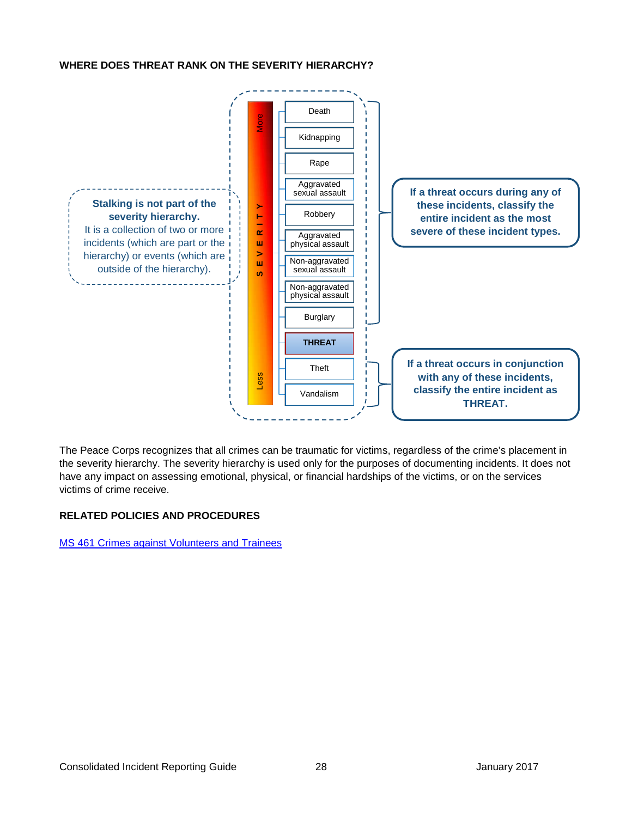#### **WHERE DOES THREAT RANK ON THE SEVERITY HIERARCHY?**



The Peace Corps recognizes that all crimes can be traumatic for victims, regardless of the crime's placement in the severity hierarchy. The severity hierarchy is used only for the purposes of documenting incidents. It does not have any impact on assessing emotional, physical, or financial hardships of the victims, or on the services victims of crime receive.

#### **RELATED POLICIES AND PROCEDURES**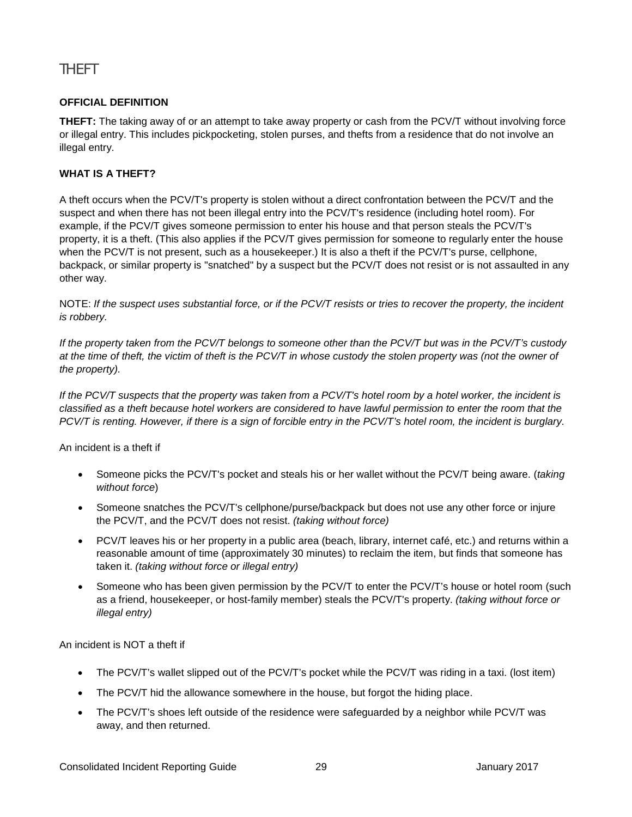## <span id="page-32-0"></span>THEFT

#### **OFFICIAL DEFINITION**

**THEFT:** The taking away of or an attempt to take away property or cash from the PCV/T without involving force or illegal entry. This includes pickpocketing, stolen purses, and thefts from a residence that do not involve an illegal entry.

#### **WHAT IS A THEFT?**

A theft occurs when the PCV/T's property is stolen without a direct confrontation between the PCV/T and the suspect and when there has not been illegal entry into the PCV/T's residence (including hotel room). For example, if the PCV/T gives someone permission to enter his house and that person steals the PCV/T's property, it is a theft. (This also applies if the PCV/T gives permission for someone to regularly enter the house when the PCV/T is not present, such as a housekeeper.) It is also a theft if the PCV/T's purse, cellphone, backpack, or similar property is "snatched" by a suspect but the PCV/T does not resist or is not assaulted in any other way.

NOTE: *If the suspect uses substantial force, or if the PCV/T resists or tries to recover the property, the incident is robbery.*

*If the property taken from the PCV/T belongs to someone other than the PCV/T but was in the PCV/T's custody at the time of theft, the victim of theft is the PCV/T in whose custody the stolen property was (not the owner of the property).*

*If the PCV/T suspects that the property was taken from a PCV/T's hotel room by a hotel worker, the incident is classified as a theft because hotel workers are considered to have lawful permission to enter the room that the PCV/T is renting. However, if there is a sign of forcible entry in the PCV/T's hotel room, the incident is burglary.*

An incident is a theft if

- Someone picks the PCV/T's pocket and steals his or her wallet without the PCV/T being aware. (*taking without force*)
- Someone snatches the PCV/T's cellphone/purse/backpack but does not use any other force or injure the PCV/T, and the PCV/T does not resist. *(taking without force)*
- PCV/T leaves his or her property in a public area (beach, library, internet café, etc.) and returns within a reasonable amount of time (approximately 30 minutes) to reclaim the item, but finds that someone has taken it. *(taking without force or illegal entry)*
- Someone who has been given permission by the PCV/T to enter the PCV/T's house or hotel room (such as a friend, housekeeper, or host-family member) steals the PCV/T's property. *(taking without force or illegal entry)*

An incident is NOT a theft if

- The PCV/T's wallet slipped out of the PCV/T's pocket while the PCV/T was riding in a taxi. (lost item)
- The PCV/T hid the allowance somewhere in the house, but forgot the hiding place.
- The PCV/T's shoes left outside of the residence were safeguarded by a neighbor while PCV/T was away, and then returned.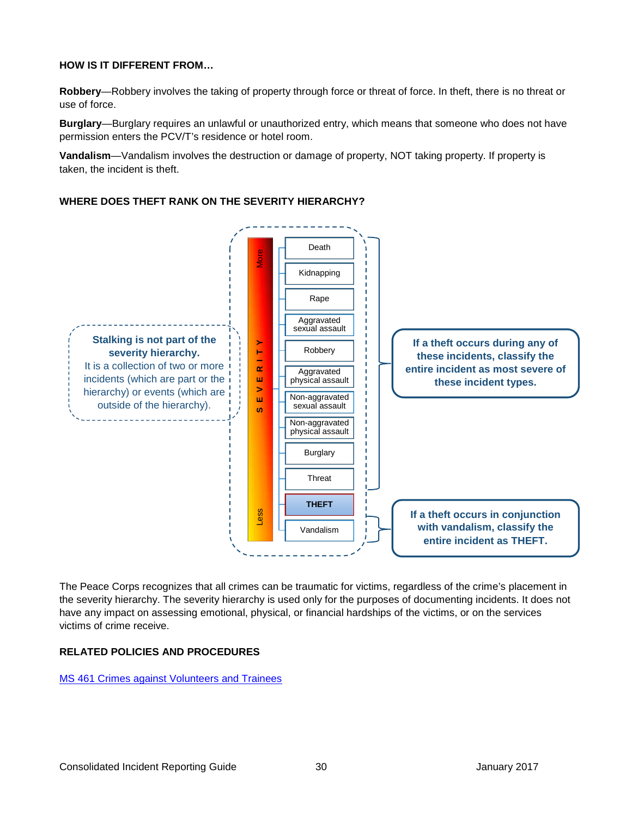#### **HOW IS IT DIFFERENT FROM…**

**Robbery**—Robbery involves the taking of property through force or threat of force. In theft, there is no threat or use of force.

**Burglary**—Burglary requires an unlawful or unauthorized entry, which means that someone who does not have permission enters the PCV/T's residence or hotel room.

**Vandalism**—Vandalism involves the destruction or damage of property, NOT taking property. If property is taken, the incident is theft.

#### **WHERE DOES THEFT RANK ON THE SEVERITY HIERARCHY?**



The Peace Corps recognizes that all crimes can be traumatic for victims, regardless of the crime's placement in the severity hierarchy. The severity hierarchy is used only for the purposes of documenting incidents. It does not have any impact on assessing emotional, physical, or financial hardships of the victims, or on the services victims of crime receive.

#### **RELATED POLICIES AND PROCEDURES**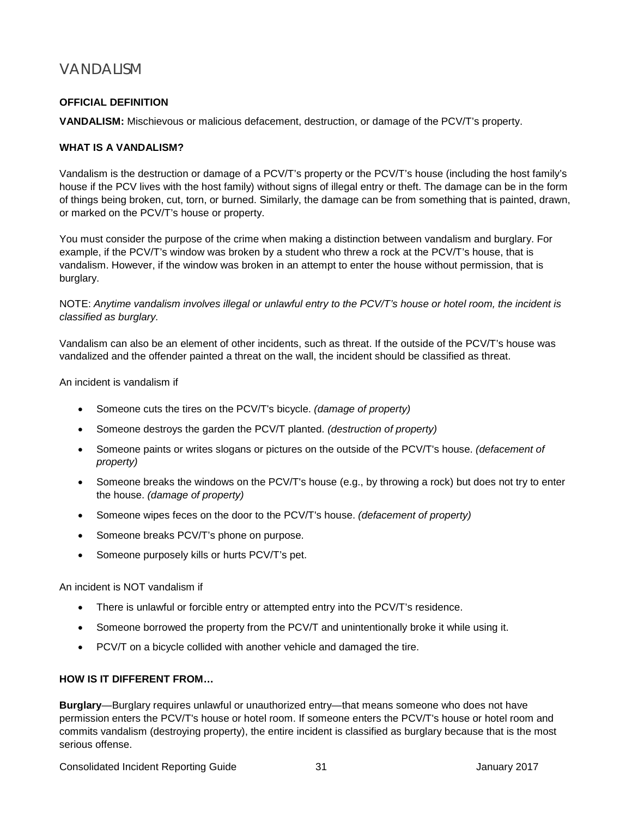## <span id="page-34-0"></span>VANDALISM

#### **OFFICIAL DEFINITION**

**VANDALISM:** Mischievous or malicious defacement, destruction, or damage of the PCV/T's property.

#### **WHAT IS A VANDALISM?**

Vandalism is the destruction or damage of a PCV/T's property or the PCV/T's house (including the host family's house if the PCV lives with the host family) without signs of illegal entry or theft. The damage can be in the form of things being broken, cut, torn, or burned. Similarly, the damage can be from something that is painted, drawn, or marked on the PCV/T's house or property.

You must consider the purpose of the crime when making a distinction between vandalism and burglary. For example, if the PCV/T's window was broken by a student who threw a rock at the PCV/T's house, that is vandalism. However, if the window was broken in an attempt to enter the house without permission, that is burglary.

NOTE: *Anytime vandalism involves illegal or unlawful entry to the PCV/T's house or hotel room, the incident is classified as burglary.*

Vandalism can also be an element of other incidents, such as threat. If the outside of the PCV/T's house was vandalized and the offender painted a threat on the wall, the incident should be classified as threat.

An incident is vandalism if

- Someone cuts the tires on the PCV/T's bicycle. *(damage of property)*
- Someone destroys the garden the PCV/T planted. *(destruction of property)*
- Someone paints or writes slogans or pictures on the outside of the PCV/T's house. *(defacement of property)*
- Someone breaks the windows on the PCV/T's house (e.g., by throwing a rock) but does not try to enter the house. *(damage of property)*
- Someone wipes feces on the door to the PCV/T's house. *(defacement of property)*
- Someone breaks PCV/T's phone on purpose.
- Someone purposely kills or hurts PCV/T's pet.

An incident is NOT vandalism if

- There is unlawful or forcible entry or attempted entry into the PCV/T's residence.
- Someone borrowed the property from the PCV/T and unintentionally broke it while using it.
- PCV/T on a bicycle collided with another vehicle and damaged the tire.

#### **HOW IS IT DIFFERENT FROM…**

**Burglary**—Burglary requires unlawful or unauthorized entry—that means someone who does not have permission enters the PCV/T's house or hotel room. If someone enters the PCV/T's house or hotel room and commits vandalism (destroying property), the entire incident is classified as burglary because that is the most serious offense.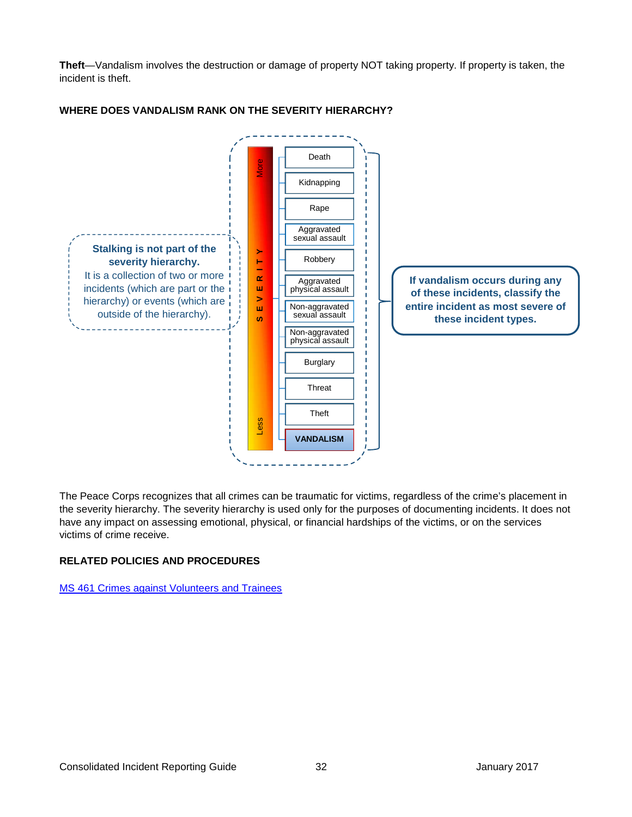**Theft**—Vandalism involves the destruction or damage of property NOT taking property. If property is taken, the incident is theft.



#### **WHERE DOES VANDALISM RANK ON THE SEVERITY HIERARCHY?**

The Peace Corps recognizes that all crimes can be traumatic for victims, regardless of the crime's placement in the severity hierarchy. The severity hierarchy is used only for the purposes of documenting incidents. It does not have any impact on assessing emotional, physical, or financial hardships of the victims, or on the services victims of crime receive.

#### **RELATED POLICIES AND PROCEDURES**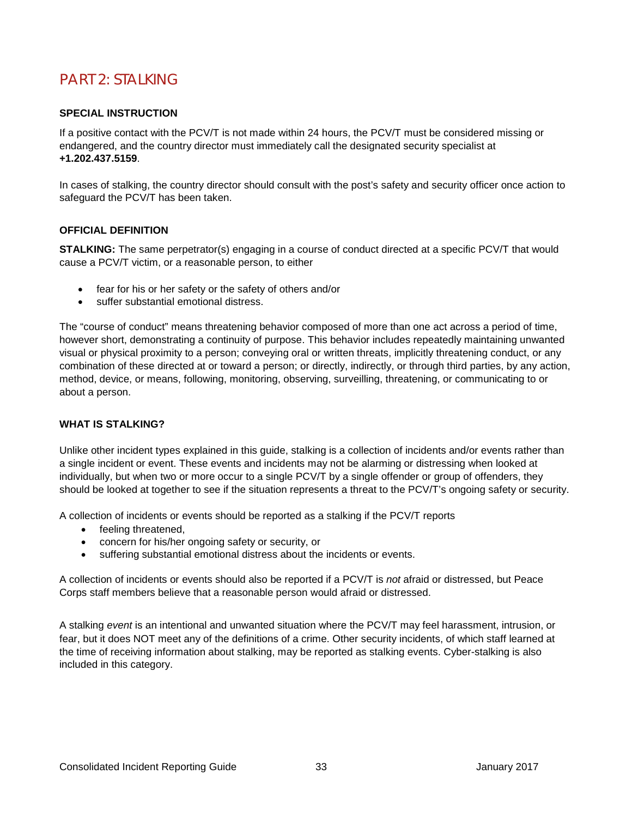## <span id="page-36-0"></span>PART 2: STALKING

#### **SPECIAL INSTRUCTION**

If a positive contact with the PCV/T is not made within 24 hours, the PCV/T must be considered missing or endangered, and the country director must immediately call the designated security specialist at **+1.202.437.5159**.

In cases of stalking, the country director should consult with the post's safety and security officer once action to safeguard the PCV/T has been taken.

#### **OFFICIAL DEFINITION**

**STALKING:** The same perpetrator(s) engaging in a course of conduct directed at a specific PCV/T that would cause a PCV/T victim, or a reasonable person, to either

- fear for his or her safety or the safety of others and/or
- suffer substantial emotional distress.

The "course of conduct" means threatening behavior composed of more than one act across a period of time, however short, demonstrating a continuity of purpose. This behavior includes repeatedly maintaining unwanted visual or physical proximity to a person; conveying oral or written threats, implicitly threatening conduct, or any combination of these directed at or toward a person; or directly, indirectly, or through third parties, by any action, method, device, or means, following, monitoring, observing, surveilling, threatening, or communicating to or about a person.

#### **WHAT IS STALKING?**

Unlike other incident types explained in this guide, stalking is a collection of incidents and/or events rather than a single incident or event. These events and incidents may not be alarming or distressing when looked at individually, but when two or more occur to a single PCV/T by a single offender or group of offenders, they should be looked at together to see if the situation represents a threat to the PCV/T's ongoing safety or security.

A collection of incidents or events should be reported as a stalking if the PCV/T reports

- feeling threatened,
- concern for his/her ongoing safety or security, or
- suffering substantial emotional distress about the incidents or events.

A collection of incidents or events should also be reported if a PCV/T is *not* afraid or distressed, but Peace Corps staff members believe that a reasonable person would afraid or distressed.

A stalking *event* is an intentional and unwanted situation where the PCV/T may feel harassment, intrusion, or fear, but it does NOT meet any of the definitions of a crime. Other security incidents, of which staff learned at the time of receiving information about stalking, may be reported as stalking events. Cyber-stalking is also included in this category.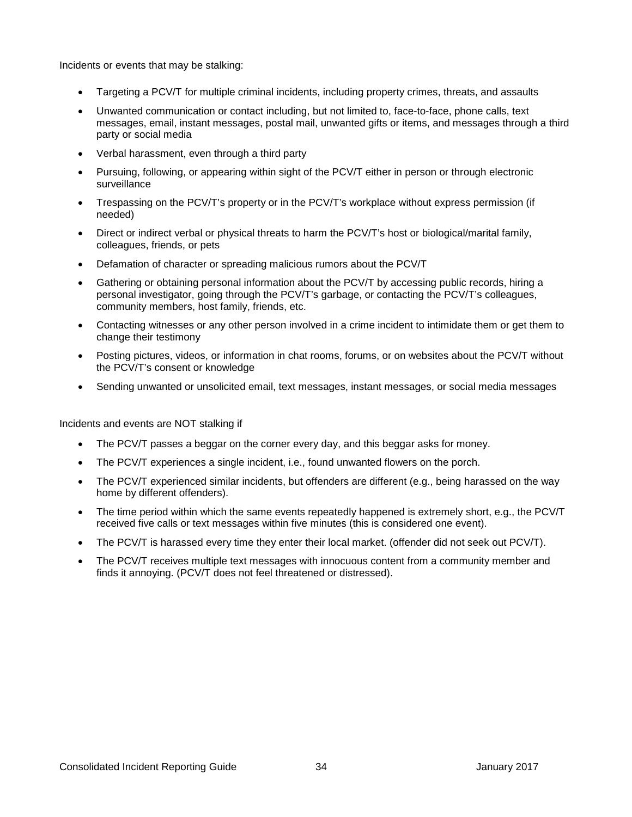Incidents or events that may be stalking:

- Targeting a PCV/T for multiple criminal incidents, including property crimes, threats, and assaults
- Unwanted communication or contact including, but not limited to, face-to-face, phone calls, text messages, email, instant messages, postal mail, unwanted gifts or items, and messages through a third party or social media
- Verbal harassment, even through a third party
- Pursuing, following, or appearing within sight of the PCV/T either in person or through electronic surveillance
- Trespassing on the PCV/T's property or in the PCV/T's workplace without express permission (if needed)
- Direct or indirect verbal or physical threats to harm the PCV/T's host or biological/marital family, colleagues, friends, or pets
- Defamation of character or spreading malicious rumors about the PCV/T
- Gathering or obtaining personal information about the PCV/T by accessing public records, hiring a personal investigator, going through the PCV/T's garbage, or contacting the PCV/T's colleagues, community members, host family, friends, etc.
- Contacting witnesses or any other person involved in a crime incident to intimidate them or get them to change their testimony
- Posting pictures, videos, or information in chat rooms, forums, or on websites about the PCV/T without the PCV/T's consent or knowledge
- Sending unwanted or unsolicited email, text messages, instant messages, or social media messages

Incidents and events are NOT stalking if

- The PCV/T passes a beggar on the corner every day, and this beggar asks for money.
- The PCV/T experiences a single incident, i.e., found unwanted flowers on the porch.
- The PCV/T experienced similar incidents, but offenders are different (e.g., being harassed on the way home by different offenders).
- The time period within which the same events repeatedly happened is extremely short, e.g., the PCV/T received five calls or text messages within five minutes (this is considered one event).
- The PCV/T is harassed every time they enter their local market. (offender did not seek out PCV/T).
- The PCV/T receives multiple text messages with innocuous content from a community member and finds it annoying. (PCV/T does not feel threatened or distressed).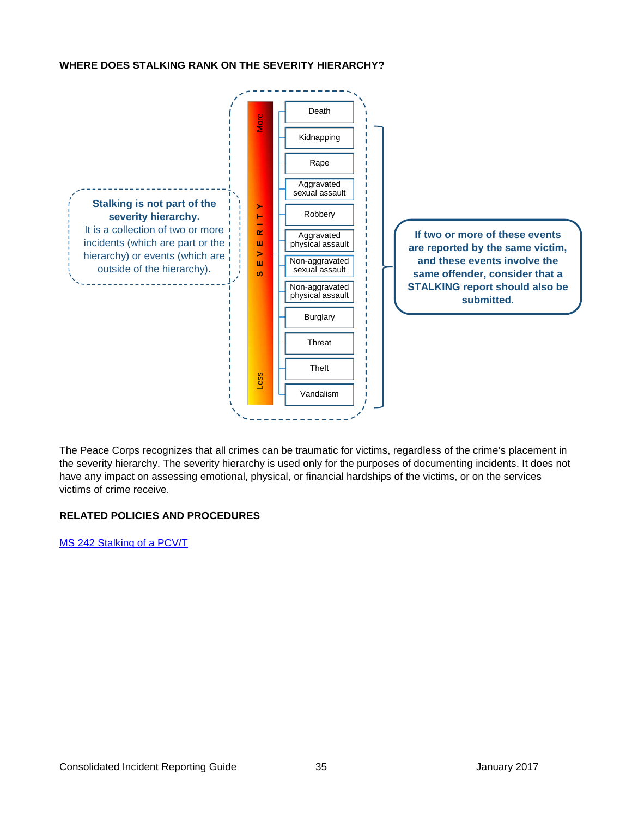#### **WHERE DOES STALKING RANK ON THE SEVERITY HIERARCHY?**



The Peace Corps recognizes that all crimes can be traumatic for victims, regardless of the crime's placement in the severity hierarchy. The severity hierarchy is used only for the purposes of documenting incidents. It does not have any impact on assessing emotional, physical, or financial hardships of the victims, or on the services victims of crime receive.

#### **RELATED POLICIES AND PROCEDURES**

[MS 242 Stalking of a PCV/T](https://intranet.peacecorps.gov/pcmanual/_layouts/15/WopiFrame.aspx?sourcedoc=/pcmanual/Documents/MS-242-Policy.docx&action=default)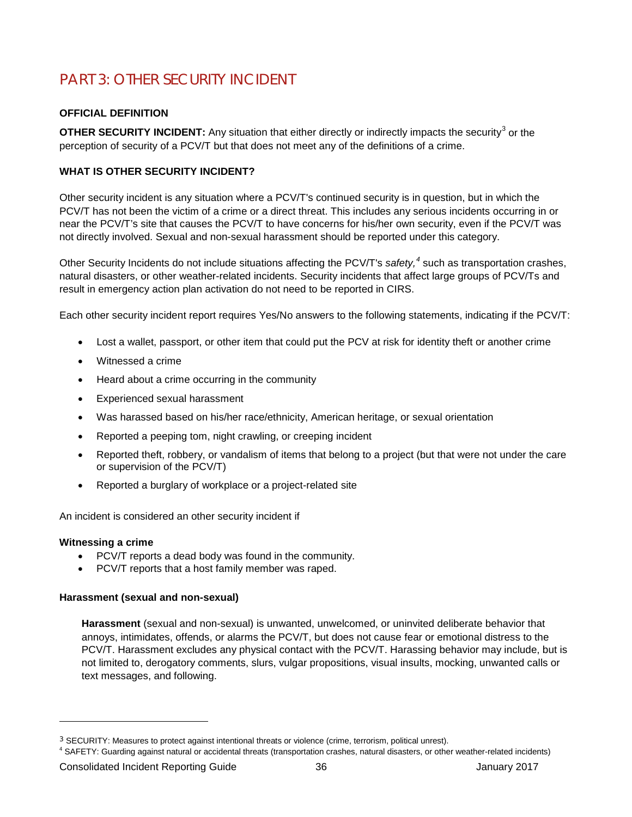## <span id="page-39-0"></span>PART 3: OTHER SECURITY INCIDENT

#### **OFFICIAL DEFINITION**

**OTHER SECURITY INCIDENT:** Any situation that either directly or indirectly impacts the security<sup>[3](#page-39-1)</sup> or the perception of security of a PCV/T but that does not meet any of the definitions of a crime.

#### **WHAT IS OTHER SECURITY INCIDENT?**

Other security incident is any situation where a PCV/T's continued security is in question, but in which the PCV/T has not been the victim of a crime or a direct threat. This includes any serious incidents occurring in or near the PCV/T's site that causes the PCV/T to have concerns for his/her own security, even if the PCV/T was not directly involved. Sexual and non-sexual harassment should be reported under this category.

Other Security Incidents do not include situations affecting the PCV/T's *safety, [4](#page-39-2)* such as transportation crashes, natural disasters, or other weather-related incidents. Security incidents that affect large groups of PCV/Ts and result in emergency action plan activation do not need to be reported in CIRS.

Each other security incident report requires Yes/No answers to the following statements, indicating if the PCV/T:

- Lost a wallet, passport, or other item that could put the PCV at risk for identity theft or another crime
- Witnessed a crime
- Heard about a crime occurring in the community
- Experienced sexual harassment
- Was harassed based on his/her race/ethnicity, American heritage, or sexual orientation
- Reported a peeping tom, night crawling, or creeping incident
- Reported theft, robbery, or vandalism of items that belong to a project (but that were not under the care or supervision of the PCV/T)
- Reported a burglary of workplace or a project-related site

An incident is considered an other security incident if

#### **Witnessing a crime**

-

- PCV/T reports a dead body was found in the community.
- PCV/T reports that a host family member was raped.

#### **Harassment (sexual and non-sexual)**

**Harassment** (sexual and non-sexual) is unwanted, unwelcomed, or uninvited deliberate behavior that annoys, intimidates, offends, or alarms the PCV/T, but does not cause fear or emotional distress to the PCV/T. Harassment excludes any physical contact with the PCV/T. Harassing behavior may include, but is not limited to, derogatory comments, slurs, vulgar propositions, visual insults, mocking, unwanted calls or text messages, and following.

<span id="page-39-1"></span><sup>3</sup> SECURITY: Measures to protect against intentional threats or violence (crime, terrorism, political unrest).

<span id="page-39-2"></span> $4$  SAFETY: Guarding against natural or accidental threats (transportation crashes, natural disasters, or other weather-related incidents)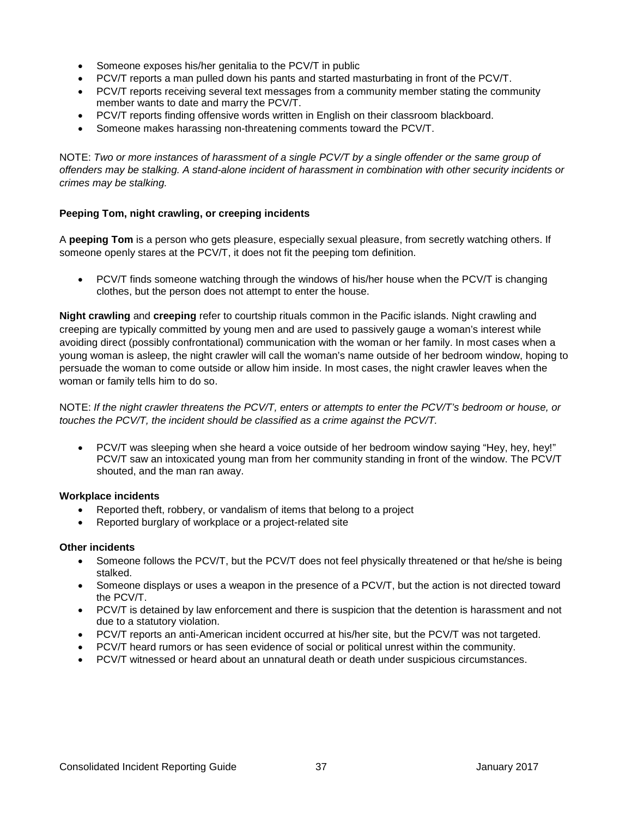- Someone exposes his/her genitalia to the PCV/T in public
- PCV/T reports a man pulled down his pants and started masturbating in front of the PCV/T.
- PCV/T reports receiving several text messages from a community member stating the community member wants to date and marry the PCV/T.
- PCV/T reports finding offensive words written in English on their classroom blackboard.
- Someone makes harassing non-threatening comments toward the PCV/T.

NOTE: *Two or more instances of harassment of a single PCV/T by a single offender or the same group of offenders may be stalking. A stand-alone incident of harassment in combination with other security incidents or crimes may be stalking.*

#### **Peeping Tom, night crawling, or creeping incidents**

A **peeping Tom** is a person who gets pleasure, especially sexual pleasure, from secretly watching others. If someone openly stares at the PCV/T, it does not fit the peeping tom definition.

• PCV/T finds someone watching through the windows of his/her house when the PCV/T is changing clothes, but the person does not attempt to enter the house.

**Night crawling** and **creeping** refer to courtship rituals common in the Pacific islands. Night crawling and creeping are typically committed by young men and are used to passively gauge a woman's interest while avoiding direct (possibly confrontational) communication with the woman or her family. In most cases when a young woman is asleep, the night crawler will call the woman's name outside of her bedroom window, hoping to persuade the woman to come outside or allow him inside. In most cases, the night crawler leaves when the woman or family tells him to do so.

#### NOTE: *If the night crawler threatens the PCV/T, enters or attempts to enter the PCV/T's bedroom or house, or touches the PCV/T, the incident should be classified as a crime against the PCV/T.*

• PCV/T was sleeping when she heard a voice outside of her bedroom window saying "Hey, hey, hey!" PCV/T saw an intoxicated young man from her community standing in front of the window. The PCV/T shouted, and the man ran away.

#### **Workplace incidents**

- Reported theft, robbery, or vandalism of items that belong to a project
- Reported burglary of workplace or a project-related site

#### **Other incidents**

- Someone follows the PCV/T, but the PCV/T does not feel physically threatened or that he/she is being stalked.
- Someone displays or uses a weapon in the presence of a PCV/T, but the action is not directed toward the PCV/T.
- PCV/T is detained by law enforcement and there is suspicion that the detention is harassment and not due to a statutory violation.
- PCV/T reports an anti-American incident occurred at his/her site, but the PCV/T was not targeted.
- PCV/T heard rumors or has seen evidence of social or political unrest within the community.
- PCV/T witnessed or heard about an unnatural death or death under suspicious circumstances.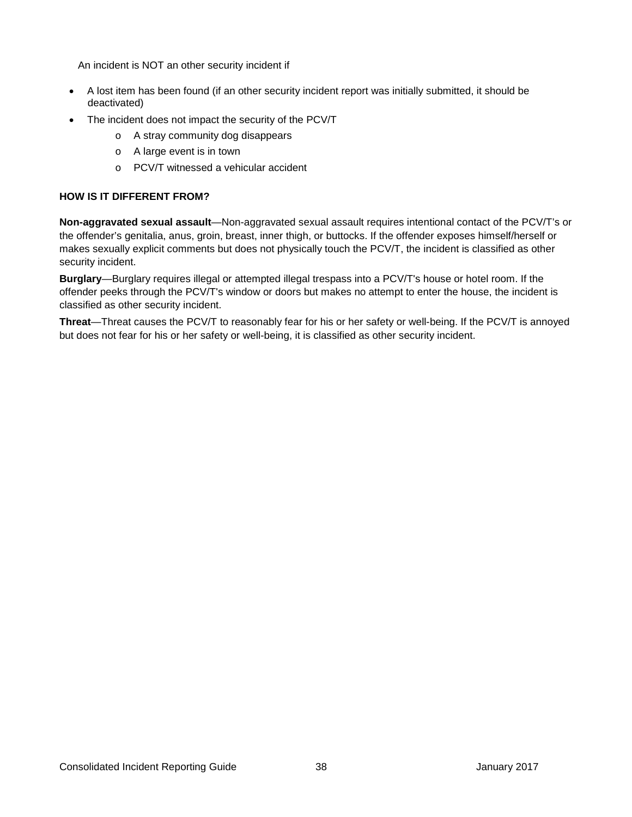An incident is NOT an other security incident if

- A lost item has been found (if an other security incident report was initially submitted, it should be deactivated)
- The incident does not impact the security of the PCV/T
	- o A stray community dog disappears
	- o A large event is in town
	- o PCV/T witnessed a vehicular accident

#### **HOW IS IT DIFFERENT FROM?**

**Non-aggravated sexual assault**—Non-aggravated sexual assault requires intentional contact of the PCV/T's or the offender's genitalia, anus, groin, breast, inner thigh, or buttocks. If the offender exposes himself/herself or makes sexually explicit comments but does not physically touch the PCV/T, the incident is classified as other security incident.

**Burglary**—Burglary requires illegal or attempted illegal trespass into a PCV/T's house or hotel room. If the offender peeks through the PCV/T's window or doors but makes no attempt to enter the house, the incident is classified as other security incident.

**Threat**—Threat causes the PCV/T to reasonably fear for his or her safety or well-being. If the PCV/T is annoyed but does not fear for his or her safety or well-being, it is classified as other security incident.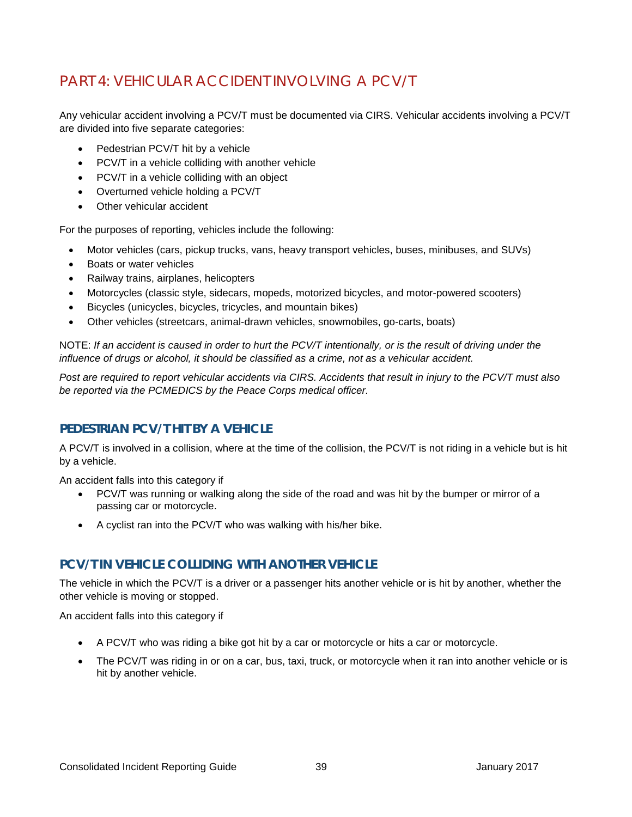## <span id="page-42-0"></span>PART 4: VEHICULAR ACCIDENT INVOLVING A PCV/T

Any vehicular accident involving a PCV/T must be documented via CIRS. Vehicular accidents involving a PCV/T are divided into five separate categories:

- Pedestrian PCV/T hit by a vehicle
- PCV/T in a vehicle colliding with another vehicle
- PCV/T in a vehicle colliding with an object
- Overturned vehicle holding a PCV/T
- Other vehicular accident

For the purposes of reporting, vehicles include the following:

- Motor vehicles (cars, pickup trucks, vans, heavy transport vehicles, buses, minibuses, and SUVs)
- Boats or water vehicles
- Railway trains, airplanes, helicopters
- Motorcycles (classic style, sidecars, mopeds, motorized bicycles, and motor-powered scooters)
- Bicycles (unicycles, bicycles, tricycles, and mountain bikes)
- Other vehicles (streetcars, animal-drawn vehicles, snowmobiles, go-carts, boats)

NOTE: *If an accident is caused in order to hurt the PCV/T intentionally, or is the result of driving under the influence of drugs or alcohol, it should be classified as a crime, not as a vehicular accident.*

*Post are required to report vehicular accidents via CIRS. Accidents that result in injury to the PCV/T must also be reported via the PCMEDICS by the Peace Corps medical officer.*

#### <span id="page-42-1"></span>**PEDESTRIAN PCV/T HIT BY A VEHICLE**

A PCV/T is involved in a collision, where at the time of the collision, the PCV/T is not riding in a vehicle but is hit by a vehicle.

An accident falls into this category if

- PCV/T was running or walking along the side of the road and was hit by the bumper or mirror of a passing car or motorcycle.
- A cyclist ran into the PCV/T who was walking with his/her bike.

#### <span id="page-42-2"></span>**PCV/T IN VEHICLE COLLIDING WITH ANOTHER VEHICLE**

The vehicle in which the PCV/T is a driver or a passenger hits another vehicle or is hit by another, whether the other vehicle is moving or stopped.

An accident falls into this category if

- A PCV/T who was riding a bike got hit by a car or motorcycle or hits a car or motorcycle.
- The PCV/T was riding in or on a car, bus, taxi, truck, or motorcycle when it ran into another vehicle or is hit by another vehicle.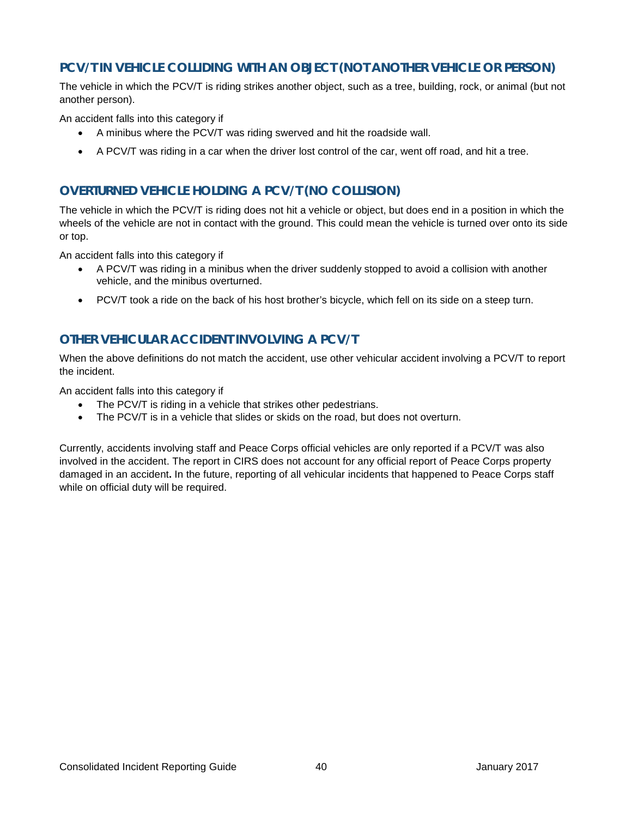#### <span id="page-43-0"></span>**PCV/T IN VEHICLE COLLIDING WITH AN OBJECT (NOT ANOTHER VEHICLE OR PERSON)**

The vehicle in which the PCV/T is riding strikes another object, such as a tree, building, rock, or animal (but not another person).

An accident falls into this category if

- A minibus where the PCV/T was riding swerved and hit the roadside wall.
- A PCV/T was riding in a car when the driver lost control of the car, went off road, and hit a tree.

#### <span id="page-43-1"></span>**OVERTURNED VEHICLE HOLDING A PCV/T (NO COLLISION)**

The vehicle in which the PCV/T is riding does not hit a vehicle or object, but does end in a position in which the wheels of the vehicle are not in contact with the ground. This could mean the vehicle is turned over onto its side or top.

An accident falls into this category if

- A PCV/T was riding in a minibus when the driver suddenly stopped to avoid a collision with another vehicle, and the minibus overturned.
- PCV/T took a ride on the back of his host brother's bicycle, which fell on its side on a steep turn.

#### <span id="page-43-2"></span>**OTHER VEHICULAR ACCIDENT INVOLVING A PCV/T**

When the above definitions do not match the accident, use other vehicular accident involving a PCV/T to report the incident.

An accident falls into this category if

- The PCV/T is riding in a vehicle that strikes other pedestrians.
- The PCV/T is in a vehicle that slides or skids on the road, but does not overturn.

Currently, accidents involving staff and Peace Corps official vehicles are only reported if a PCV/T was also involved in the accident. The report in CIRS does not account for any official report of Peace Corps property damaged in an accident**.** In the future, reporting of all vehicular incidents that happened to Peace Corps staff while on official duty will be required.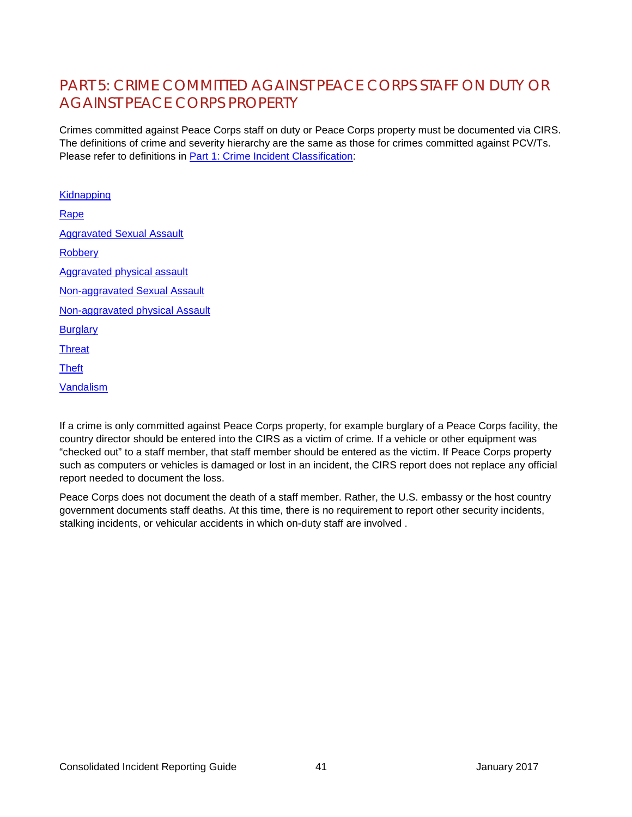## <span id="page-44-0"></span>PART 5: CRIME COMMITTED AGAINST PEACE CORPS STAFF ON DUTY OR AGAINST PEACE CORPS PROPERTY

Crimes committed against Peace Corps staff on duty or Peace Corps property must be documented via CIRS. The definitions of crime and severity hierarchy are the same as those for crimes committed against PCV/Ts. Please refer to definitions in [Part 1: Crime Incident Classification:](#page-7-0)

**[Kidnapping](#page-10-0)** [Rape](#page-12-0) [Aggravated Sexual Assault](#page-14-0) **[Robbery](#page-16-0)** [Aggravated physical assault](#page-19-0) [Non-aggravated Sexual Assault](#page-22-0) [Non-aggravated physical Assault](#page-24-0) **[Burglary](#page-26-0) [Threat](#page-29-0) [Theft](#page-32-0)** [Vandalism](#page-34-0)

If a crime is only committed against Peace Corps property, for example burglary of a Peace Corps facility, the country director should be entered into the CIRS as a victim of crime. If a vehicle or other equipment was "checked out" to a staff member, that staff member should be entered as the victim. If Peace Corps property such as computers or vehicles is damaged or lost in an incident, the CIRS report does not replace any official report needed to document the loss.

Peace Corps does not document the death of a staff member. Rather, the U.S. embassy or the host country government documents staff deaths. At this time, there is no requirement to report other security incidents, stalking incidents, or vehicular accidents in which on-duty staff are involved .